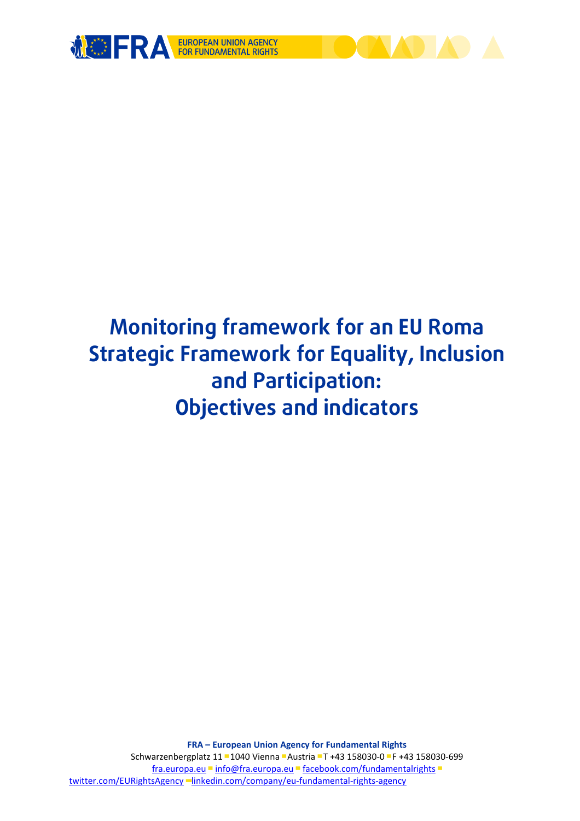

# **Monitoring framework for an EU Roma Strategic Framework for Equality, Inclusion and Participation: Objectives and indicators**

**FRA – European Union Agency for Fundamental Rights** Schwarzenbergplatz 11 ▀ 1040 Vienna ▀ Austria ▀ T +43 158030-0 ▀ F +43 158030-699 [fra.europa.eu](http://fra.europa.eu/) ■ info@fra.europa.eu ■ [facebook.com/fundamentalrights](http://facebook.com/fundamentalrights) ■ [twitter.com/EURightsAgency](http://twitter.com/EURightsAgency) ▀[linkedin.com/company/eu-fundamental-rights-agency](http://linkedin.com/company/eu-fundamental-rights-agency)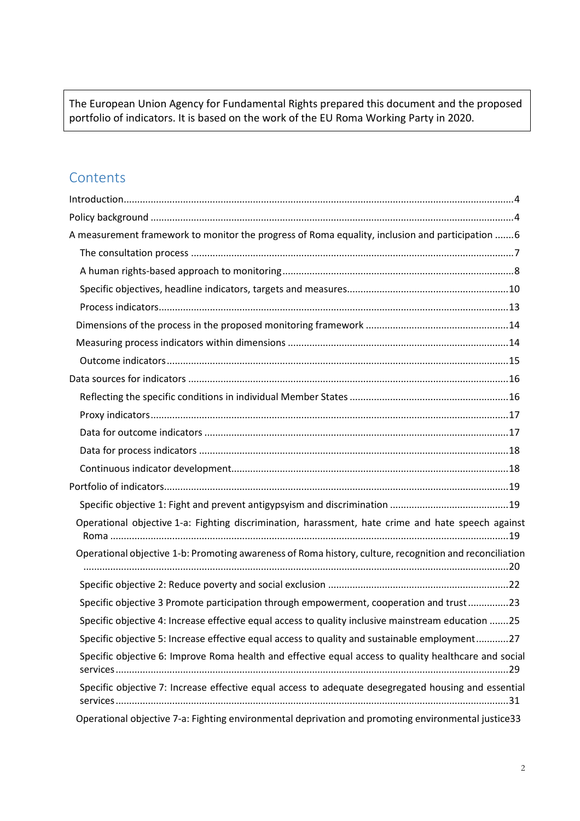The European Union Agency for Fundamental Rights prepared this document and the proposed portfolio of indicators. It is based on the work of the EU Roma Working Party in 2020.

# **Contents**

| A measurement framework to monitor the progress of Roma equality, inclusion and participation  6        |
|---------------------------------------------------------------------------------------------------------|
|                                                                                                         |
|                                                                                                         |
|                                                                                                         |
|                                                                                                         |
|                                                                                                         |
|                                                                                                         |
|                                                                                                         |
|                                                                                                         |
|                                                                                                         |
|                                                                                                         |
|                                                                                                         |
|                                                                                                         |
|                                                                                                         |
|                                                                                                         |
|                                                                                                         |
| Operational objective 1-a: Fighting discrimination, harassment, hate crime and hate speech against      |
| Operational objective 1-b: Promoting awareness of Roma history, culture, recognition and reconciliation |
|                                                                                                         |
| Specific objective 3 Promote participation through empowerment, cooperation and trust23                 |
| Specific objective 4: Increase effective equal access to quality inclusive mainstream education 25      |
| Specific objective 5: Increase effective equal access to quality and sustainable employment27           |
| Specific objective 6: Improve Roma health and effective equal access to quality healthcare and social   |
| Specific objective 7: Increase effective equal access to adequate desegregated housing and essential    |
| Operational objective 7-a: Fighting environmental deprivation and promoting environmental justice33     |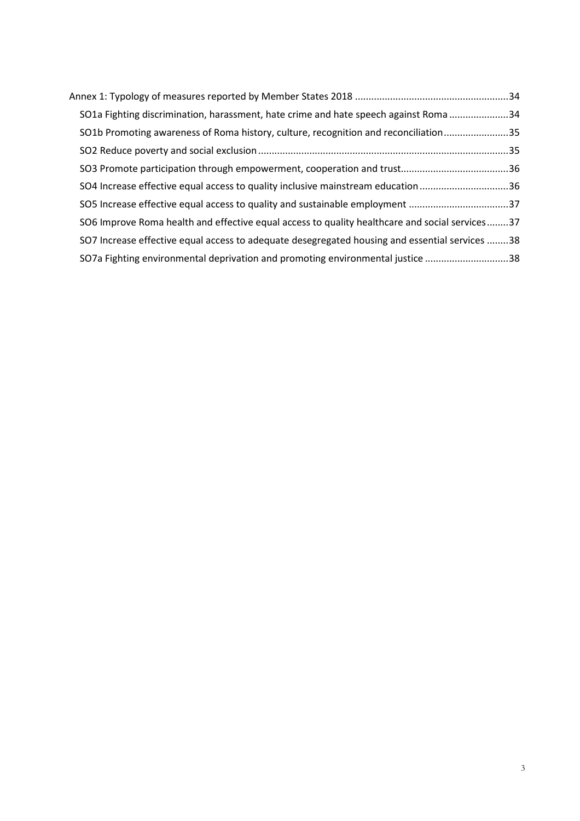| SO1a Fighting discrimination, harassment, hate crime and hate speech against Roma 34           |  |
|------------------------------------------------------------------------------------------------|--|
| SO1b Promoting awareness of Roma history, culture, recognition and reconciliation35            |  |
|                                                                                                |  |
|                                                                                                |  |
| SO4 Increase effective equal access to quality inclusive mainstream education36                |  |
| SO5 Increase effective equal access to quality and sustainable employment 37                   |  |
| SO6 Improve Roma health and effective equal access to quality healthcare and social services37 |  |
| SO7 Increase effective equal access to adequate desegregated housing and essential services 38 |  |
| SO7a Fighting environmental deprivation and promoting environmental justice 38                 |  |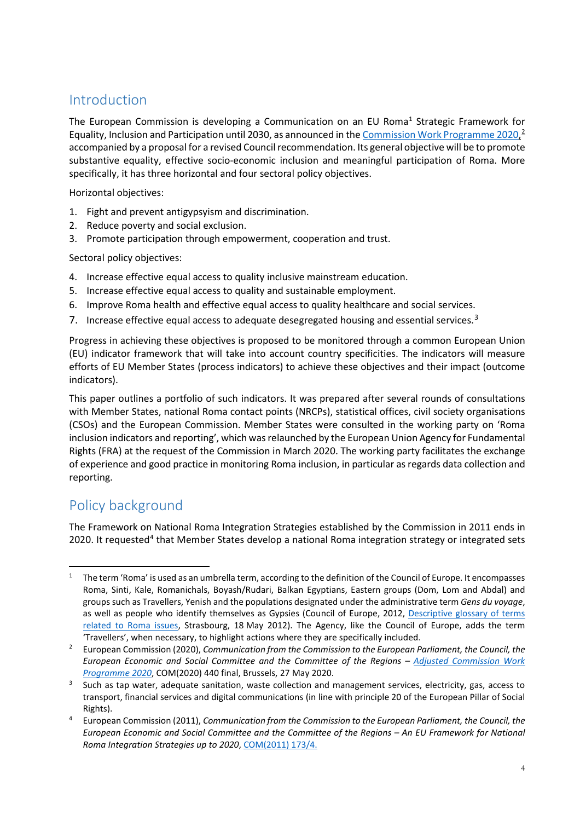# <span id="page-3-0"></span>Introduction

The European Commission is developing a Communication on an EU Roma<sup>[1](#page-3-2)</sup> Strategic Framework for Equality, Inclusion and Participation until [2](#page-3-3)030, as announced in the <u>Commission Work Programme 2020, 2</u> accompanied by a proposal for a revised Council recommendation. Its general objective will be to promote substantive equality, effective socio-economic inclusion and meaningful participation of Roma. More specifically, it has three horizontal and four sectoral policy objectives.

Horizontal objectives:

- 1. Fight and prevent antigypsyism and discrimination.
- 2. Reduce poverty and social exclusion.
- 3. Promote participation through empowerment, cooperation and trust.

Sectoral policy objectives:

- 4. Increase effective equal access to quality inclusive mainstream education.
- 5. Increase effective equal access to quality and sustainable employment.
- 6. Improve Roma health and effective equal access to quality healthcare and social services.
- 7. Increase effective equal access to adequate desegregated housing and essential services.<sup>[3](#page-3-4)</sup>

Progress in achieving these objectives is proposed to be monitored through a common European Union (EU) indicator framework that will take into account country specificities. The indicators will measure efforts of EU Member States (process indicators) to achieve these objectives and their impact (outcome indicators).

This paper outlines a portfolio of such indicators. It was prepared after several rounds of consultations with Member States, national Roma contact points (NRCPs), statistical offices, civil society organisations (CSOs) and the European Commission. Member States were consulted in the working party on 'Roma inclusion indicators and reporting', which was relaunched by the European Union Agency for Fundamental Rights (FRA) at the request of the Commission in March 2020. The working party facilitates the exchange of experience and good practice in monitoring Roma inclusion, in particular as regards data collection and reporting.

# <span id="page-3-1"></span>Policy background

The Framework on National Roma Integration Strategies established by the Commission in 2011 ends in 2020. It requested<sup>[4](#page-3-5)</sup> that Member States develop a national Roma integration strategy or integrated sets

<span id="page-3-2"></span><sup>&</sup>lt;sup>1</sup> The term 'Roma' is used as an umbrella term, according to the definition of the Council of Europe. It encompasses Roma, Sinti, Kale, Romanichals, Boyash/Rudari, Balkan Egyptians, Eastern groups (Dom, Lom and Abdal) and groups such as Travellers, Yenish and the populations designated under the administrative term *Gens du voyage*, as well as people who identify themselves as Gypsies (Council of Europe, 2012, [Descriptive glossary of terms](https://rm.coe.int/1680088eab)  [related to Roma issues,](https://rm.coe.int/1680088eab) Strasbourg, 18 May 2012). The Agency, like the Council of Europe, adds the term 'Travellers', when necessary, to highlight actions where they are specifically included.

<span id="page-3-3"></span><sup>2</sup> European Commission (2020), *Communication from the Commission to the European Parliament, the Council, the European Economic and Social Committee and the Committee of the Regions – [Adjusted Commission Work](https://eur-lex.europa.eu/resource.html?uri=cellar%3Af1ebd6bf-a0d3-11ea-9d2d-01aa75ed71a1.0006.02/DOC_1&format=PDF)  [Programme 2020](https://eur-lex.europa.eu/resource.html?uri=cellar%3Af1ebd6bf-a0d3-11ea-9d2d-01aa75ed71a1.0006.02/DOC_1&format=PDF)*, COM(2020) 440 final, Brussels, 27 May 2020.

<span id="page-3-4"></span> $3$  Such as tap water, adequate sanitation, waste collection and management services, electricity, gas, access to transport, financial services and digital communications (in line with principle 20 of the European Pillar of Social Rights).

<span id="page-3-5"></span><sup>4</sup> European Commission (2011), *Communication from the Commission to the European Parliament, the Council, the European Economic and Social Committee and the Committee of the Regions – An EU Framework for National Roma Integration Strategies up to 2020*, [COM\(2011\)](https://ec.europa.eu/social/BlobServlet?docId=6717&langId=en) 173/4.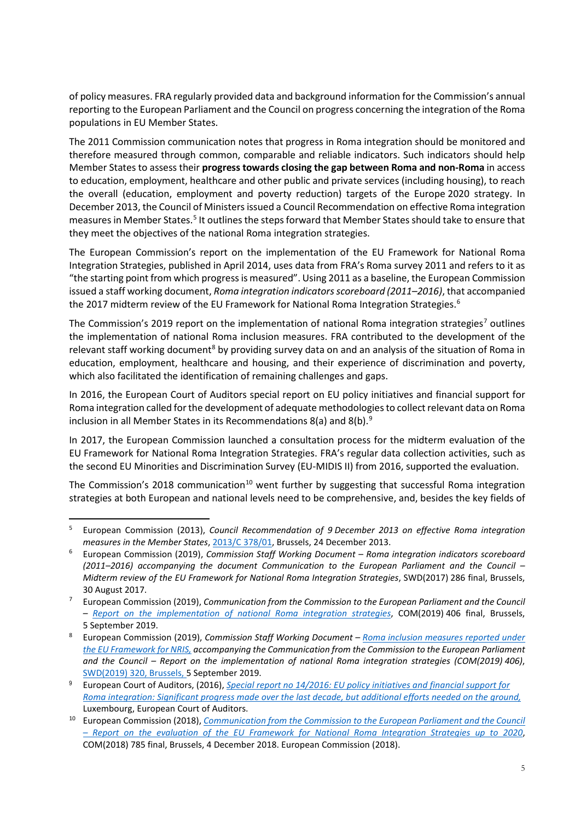of policy measures. FRA regularly provided data and background information for the Commission's annual reporting to the European Parliament and the Council on progress concerning the integration of the Roma populations in EU Member States.

The 2011 Commission communication notes that progress in Roma integration should be monitored and therefore measured through common, comparable and reliable indicators. Such indicators should help Member States to assess their **progress towards closing the gap between Roma and non-Roma** in access to education, employment, healthcare and other public and private services (including housing), to reach the overall (education, employment and poverty reduction) targets of the Europe 2020 strategy. In December 2013, the Council of Ministers issued a Council Recommendation on effective Roma integration measures in Member States.<sup>[5](#page-4-0)</sup> It outlines the steps forward that Member States should take to ensure that they meet the objectives of the national Roma integration strategies.

The European Commission's report on the implementation of the EU Framework for National Roma Integration Strategies, published in April 2014, uses data from FRA's Roma survey 2011 and refers to it as "the starting point from which progress is measured". Using 2011 as a baseline, the European Commission issued a staff working document, *Roma integration indicators scoreboard (2011–2016)*, that accompanied the 2017 midterm review of the EU Framework for National Roma Integration Strategies. [6](#page-4-1)

The Commission's 2019 report on the implementation of national Roma integration strategies<sup>[7](#page-4-2)</sup> outlines the implementation of national Roma inclusion measures. FRA contributed to the development of the relevant staff working document<sup>8</sup> by providing survey data on and an analysis of the situation of Roma in education, employment, healthcare and housing, and their experience of discrimination and poverty, which also facilitated the identification of remaining challenges and gaps.

In 2016, the [European Court of Auditors special report on EU](http://www.eca.europa.eu/en/Pages/DocItem.aspx?did=36850) policy initiatives and financial support for [Roma integration](http://www.eca.europa.eu/en/Pages/DocItem.aspx?did=36850) called for the development of adequate methodologies to collect relevant data on Roma inclusion in all Member States in its Recommendations 8(a) and 8(b). $9^{\circ}$  $9^{\circ}$ 

In 2017, the European Commission launched a consultation process for the midterm evaluation of the EU Framework for National Roma Integration Strategies. FRA's regular data collection activities, such as the second EU Minorities and Discrimination Survey (EU-MIDIS II) from 2016, supported the evaluation.

The Commission's 2018 communication<sup>[10](#page-4-5)</sup> went further by suggesting that successful Roma integration strategies at both European and national levels need to be comprehensive, and, besides the key fields of

<span id="page-4-0"></span> <sup>5</sup> European Commission (2013), *Council Recommendation of 9 December 2013 on effective Roma integration measures in the Member States*, [2013/C](https://eur-lex.europa.eu/legal-content/EN/TXT/PDF/?uri=CELEX:32013H1224(01)&from=en) 378/01, Brussels, 24 December 2013.

<span id="page-4-1"></span><sup>6</sup> European Commission (2019), *Commission Staff Working Document – Roma integration indicators scoreboard (2011–2016) accompanying the document Communication to the European Parliament and the Council – Midterm review of the EU Framework for National Roma Integration Strategies*, SWD(2017) 286 final, Brussels, 30 August 2017.

<span id="page-4-2"></span><sup>7</sup> European Commission (2019), *Communication from the Commission to the European Parliament and the Council – [Report on the implementation of national Roma integration strategies](https://ec.europa.eu/info/publications/report-implementation-national-roma-integration-strategies-2019_en)*, COM(2019) 406 final, Brussels, 5 September 2019.

<span id="page-4-3"></span><sup>8</sup> European Commission (2019), *Commission Staff Working Document – [Roma inclusion measures reported under](https://ec.europa.eu/info/sites/info/files/cswd_roma_inclusion_measures_reported_under_the_eu_framework_for_nris_pt1_en.pdf)  [the EU Framework for NRIS,](https://ec.europa.eu/info/sites/info/files/cswd_roma_inclusion_measures_reported_under_the_eu_framework_for_nris_pt1_en.pdf) accompanying the Communication from the Commission to the European Parliament and the Council – Report on the implementation of national Roma integration strategies (COM(2019) 406)*, SWD(2019) 320, Brussels, 5 September 2019.

<span id="page-4-4"></span><sup>9</sup> European Court of Auditors, (2016), *Special report no [14/2016: EU policy initiatives and financial support for](http://www.eca.europa.eu/en/Pages/DocItem.aspx?did=36850)  [Roma integration: Significant progress made over the last decade, but additional efforts needed on the ground,](http://www.eca.europa.eu/en/Pages/DocItem.aspx?did=36850)*  Luxembourg, European Court of Auditors.

<span id="page-4-5"></span><sup>10</sup> European Commission (2018), *[Communication from the Commission to the European Parliament and the Council](https://eur-lex.europa.eu/legal-content/EN/TXT/?qid=1544112037077&uri=CELEX:52018DC0785) – [Report on the evaluation of the EU Framework for National Roma Integration Strategies up to 2020](https://eur-lex.europa.eu/legal-content/EN/TXT/?qid=1544112037077&uri=CELEX:52018DC0785)*, COM(2018) 785 final, Brussels, 4 December 2018. European Commission (2018).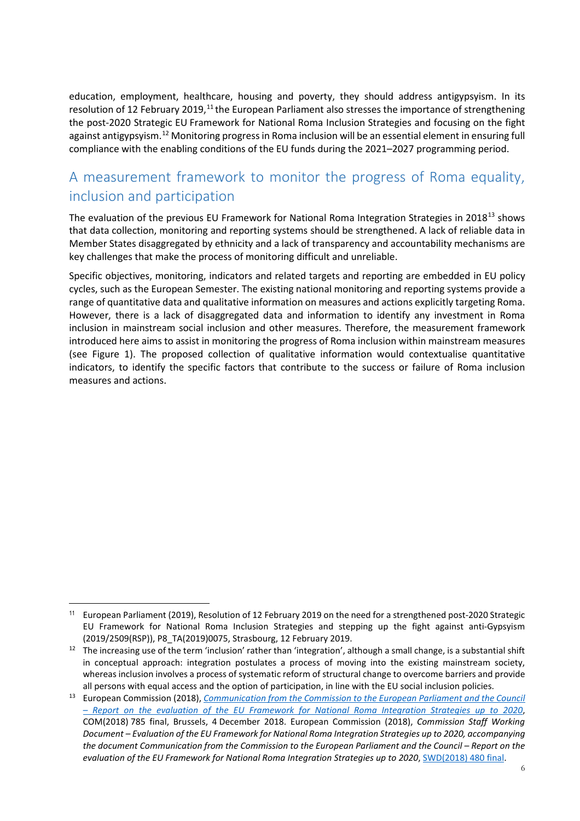education, employment, healthcare, housing and poverty, they should address antigypsyism. In its resolution of 12 February 2019,<sup>[11](#page-5-1)</sup> the European Parliament also stresses the importance of strengthening the post-2020 Strategic EU Framework for National Roma Inclusion Strategies and focusing on the fight against antigypsyism.<sup>[12](#page-5-2)</sup> Monitoring progress in Roma inclusion will be an essential element in ensuring full compliance with the enabling conditions of the EU funds during the 2021–2027 programming period.

# <span id="page-5-0"></span>A measurement framework to monitor the progress of Roma equality, inclusion and participation

The evaluation of the previous EU Framework for National Roma Integration Strategies in 2018<sup>[13](#page-5-3)</sup> shows that data collection, monitoring and reporting systems should be strengthened. A lack of reliable data in Member States disaggregated by ethnicity and a lack of transparency and accountability mechanisms are key challenges that make the process of monitoring difficult and unreliable.

Specific objectives, monitoring, indicators and related targets and reporting are embedded in EU policy cycles, such as the European Semester. The existing national monitoring and reporting systems provide a range of quantitative data and qualitative information on measures and actions explicitly targeting Roma. However, there is a lack of disaggregated data and information to identify any investment in Roma inclusion in mainstream social inclusion and other measures. Therefore, the measurement framework introduced here aims to assist in monitoring the progress of Roma inclusion within mainstream measures (see Figure 1). The proposed collection of qualitative information would contextualise quantitative indicators, to identify the specific factors that contribute to the success or failure of Roma inclusion measures and actions.

<span id="page-5-1"></span> $\overline{\phantom{a}}$ <sup>11</sup> European Parliament (2019), Resolution of 12 February 2019 on the need for a strengthened post-2020 Strategic EU Framework for National Roma Inclusion Strategies and stepping up the fight against anti-Gypsyism (2019/2509(RSP)), P8\_TA(2019)0075, Strasbourg, 12 February 2019.

<span id="page-5-2"></span> $12$  The increasing use of the term 'inclusion' rather than 'integration', although a small change, is a substantial shift in conceptual approach: integration postulates a process of moving into the existing mainstream society, whereas inclusion involves a process of systematic reform of structural change to overcome barriers and provide all persons with equal access and the option of participation, in line with the EU social inclusion policies.

<span id="page-5-3"></span><sup>13</sup> European Commission (2018), *[Communication from the Commission to the European Parliament and the Council](https://eur-lex.europa.eu/legal-content/EN/TXT/?qid=1544112037077&uri=CELEX:52018DC0785)  – [Report on the evaluation of the EU Framework for National Roma Integration Strategies up to 2020](https://eur-lex.europa.eu/legal-content/EN/TXT/?qid=1544112037077&uri=CELEX:52018DC0785)*, COM(2018) 785 final, Brussels, 4 December 2018. European Commission (2018), *Commission Staff Working Document – Evaluation of the EU Framework for National Roma Integration Strategies up to 2020, accompanying the document Communication from the Commission to the European Parliament and the Council – Report on the evaluation of the EU Framework for National Roma Integration Strategies up to 2020*, [SWD\(2018\)](https://eur-lex.europa.eu/legal-content/EN/TXT/?uri=SWD:2018:480:FIN) 480 final.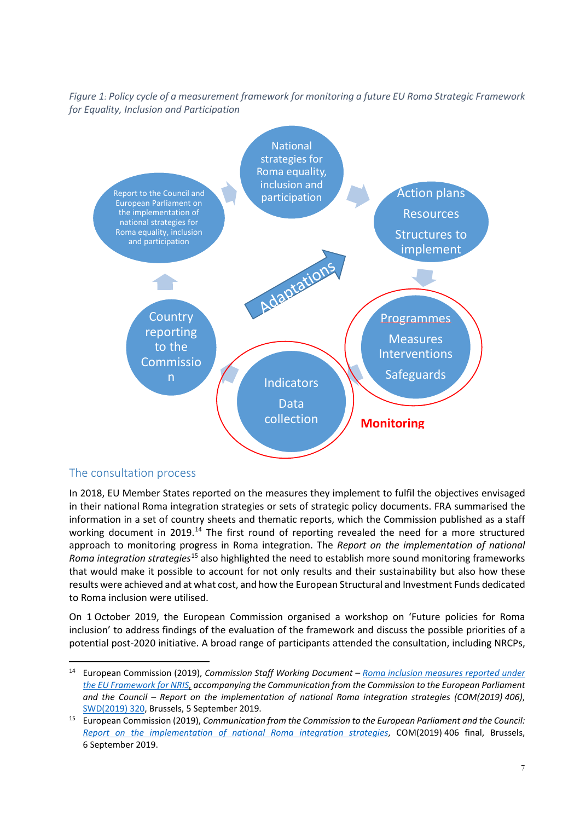### *Figure 1: Policy cycle of a measurement framework for monitoring a future EU Roma Strategic Framework for Equality, Inclusion and Participation*



### <span id="page-6-0"></span>The consultation process

In 2018, EU Member States reported on the measures they implement to fulfil the objectives envisaged in their national Roma integration strategies or sets of strategic policy documents. FRA summarised the information in a set of country sheets and thematic reports, which the Commission published as a staff working document in 2019.<sup>[14](#page-6-1)</sup> The first round of reporting revealed the need for a more structured approach to monitoring progress in Roma integration. The *Report on the implementation of national Roma integration strategies*[15](#page-6-2) also highlighted the need to establish more sound monitoring frameworks that would make it possible to account for not only results and their sustainability but also how these results were achieved and at what cost, and how the European Structural and Investment Funds dedicated to Roma inclusion were utilised.

On 1 October 2019, the European Commission organised a workshop on 'Future policies for Roma inclusion' to address findings of the evaluation of the framework and discuss the possible priorities of a potential post-2020 initiative. A broad range of participants attended the consultation, including NRCPs,

<span id="page-6-1"></span> <sup>14</sup> European Commission (2019), *Commission Staff Working Document – [Roma inclusion measures reported under](https://ec.europa.eu/info/sites/info/files/cswd_roma_inclusion_measures_reported_under_the_eu_framework_for_nris_pt1_en.pdf)  [the EU Framework for NRIS,](https://ec.europa.eu/info/sites/info/files/cswd_roma_inclusion_measures_reported_under_the_eu_framework_for_nris_pt1_en.pdf) accompanying the Communication from the Commission to the European Parliament and the Council – Report on the implementation of national Roma integration strategies (COM(2019) 406)*, SWD(2019) 320, Brussels, 5 September 2019.

<span id="page-6-2"></span><sup>15</sup> European Commission (2019), *Communication from the Commission to the European Parliament and the Council: [Report on the implementation of national Roma integration strategies](https://ec.europa.eu/info/publications/report-implementation-national-roma-integration-strategies-2019_en)*, COM(2019) 406 final, Brussels, 6 September 2019.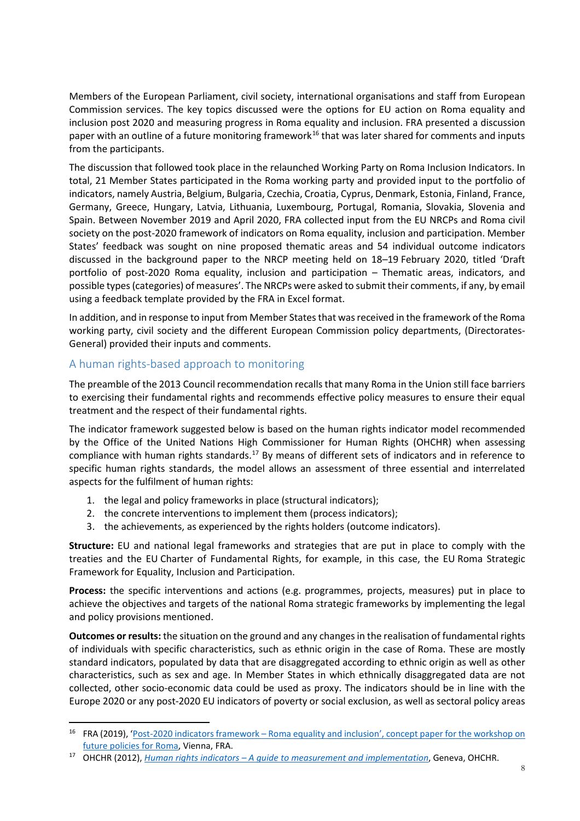Members of the European Parliament, civil society, international organisations and staff from European Commission services. The key topics discussed were the options for EU action on Roma equality and inclusion post 2020 and measuring progress in Roma equality and inclusion. FRA presented a discussion paper with an outline of a future monitoring framework<sup>[16](#page-7-1)</sup> that was later shared for comments and inputs from the participants.

The discussion that followed took place in the relaunched Working Party on Roma Inclusion Indicators. In total, 21 Member States participated in the Roma working party and provided input to the portfolio of indicators, namely Austria, Belgium, Bulgaria, Czechia, Croatia, Cyprus, Denmark, Estonia, Finland, France, Germany, Greece, Hungary, Latvia, Lithuania, Luxembourg, Portugal, Romania, Slovakia, Slovenia and Spain. Between November 2019 and April 2020, FRA collected input from the EU NRCPs and Roma civil society on the post-2020 framework of indicators on Roma equality, inclusion and participation. Member States' feedback was sought on nine proposed thematic areas and 54 individual outcome indicators discussed in the background paper to the NRCP meeting held on 18–19 February 2020, titled 'Draft portfolio of post-2020 Roma equality, inclusion and participation – Thematic areas, indicators, and possible types (categories) of measures'. The NRCPs were asked to submit their comments, if any, by email using a feedback template provided by the FRA in Excel format.

In addition, and in response to input from Member Statesthat wasreceived in the framework of the Roma working party, civil society and the different European Commission policy departments, (Directorates-General) provided their inputs and comments.

### <span id="page-7-0"></span>A human rights-based approach to monitoring

The preamble of the 2013 Council recommendation recalls that many Roma in the Union still face barriers to exercising their fundamental rights and recommends effective policy measures to ensure their equal treatment and the respect of their fundamental rights.

The indicator framework suggested below is based on the human rights indicator model recommended by the Office of the United Nations High Commissioner for Human Rights (OHCHR) when assessing compliance with human rights standards.[17](#page-7-2) By means of different sets of indicators and in reference to specific human rights standards, the model allows an assessment of three essential and interrelated aspects for the fulfilment of human rights:

- 1. the legal and policy frameworks in place (structural indicators);
- 2. the concrete interventions to implement them (process indicators);
- 3. the achievements, as experienced by the rights holders (outcome indicators).

**Structure:** EU and national legal frameworks and strategies that are put in place to comply with the treaties and the EU Charter of Fundamental Rights, for example, in this case, the EU Roma Strategic Framework for Equality, Inclusion and Participation.

**Process:** the specific interventions and actions (e.g. programmes, projects, measures) put in place to achieve the objectives and targets of the national Roma strategic frameworks by implementing the legal and policy provisions mentioned.

**Outcomes or results:** the situation on the ground and any changes in the realisation of fundamental rights of individuals with specific characteristics, such as ethnic origin in the case of Roma. These are mostly standard indicators, populated by data that are disaggregated according to ethnic origin as well as other characteristics, such as sex and age. In Member States in which ethnically disaggregated data are not collected, other socio-economic data could be used as proxy. The indicators should be in line with the Europe 2020 or any post-2020 EU indicators of poverty or social exclusion, as well as sectoral policy areas

<span id="page-7-1"></span><sup>&</sup>lt;sup>16</sup> FRA (2019), 'Post-2020 indicators framework – Roma equality and inclusion', concept paper for the workshop on [future policies for Roma,](https://ec.europa.eu/info/sites/info/files/input_paper_session_2_fra_post-2020_indicators_framework.pdf) Vienna, FRA.

<span id="page-7-2"></span><sup>17</sup> OHCHR (2012), *Human rights indicators – [A guide to measurement and implementation](https://www.ohchr.org/documents/publications/human_rights_indicators_en.pdf)*, Geneva, OHCHR.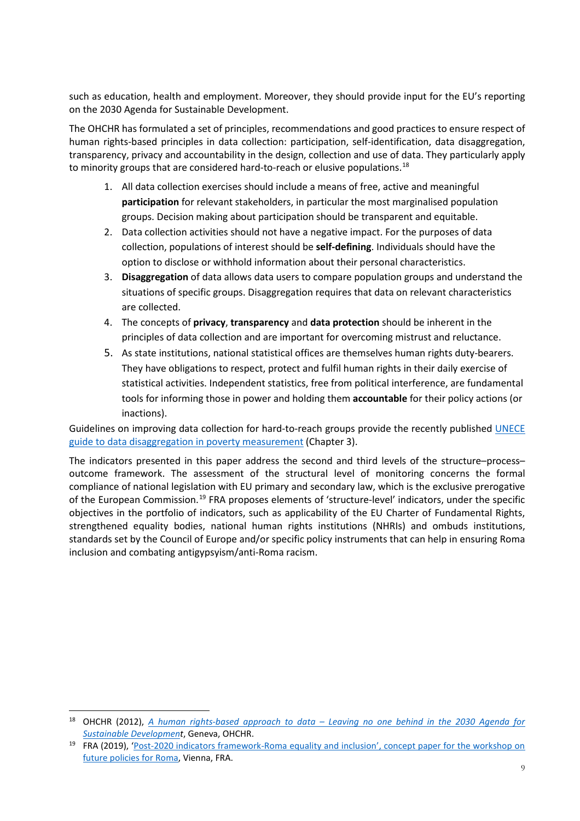such as education, health and employment. Moreover, they should provide input for the EU's reporting on the 2030 Agenda for Sustainable Development.

The OHCHR has formulated a set of principles, recommendations and good practices to ensure respect of human rights-based principles in data collection: participation, self-identification, data disaggregation, transparency, privacy and accountability in the design, collection and use of data. They particularly apply to minority groups that are considered hard-to-reach or elusive populations. $^{18}$  $^{18}$  $^{18}$ 

- 1. All data collection exercises should include a means of free, active and meaningful **participation** for relevant stakeholders, in particular the most marginalised population groups. Decision making about participation should be transparent and equitable.
- 2. Data collection activities should not have a negative impact. For the purposes of data collection, populations of interest should be **self-defining**. Individuals should have the option to disclose or withhold information about their personal characteristics.
- 3. **Disaggregation** of data allows data users to compare population groups and understand the situations of specific groups. Disaggregation requires that data on relevant characteristics are collected.
- 4. The concepts of **privacy**, **transparency** and **data protection** should be inherent in the principles of data collection and are important for overcoming mistrust and reluctance.
- 5. As state institutions, national statistical offices are themselves human rights duty-bearers. They have obligations to respect, protect and fulfil human rights in their daily exercise of statistical activities. Independent statistics, free from political interference, are fundamental tools for informing those in power and holding them **accountable** for their policy actions (or inactions).

Guidelines on improving data collection for hard-to-reach groups provide the recently published UNECE [guide to data disaggregation in poverty measurement](http://www.unece.org/fileadmin/DAM/stats/documents/ece/ces/2020/09Rev1_Poverty_Measurement_Guide_after_consultation.pdf) (Chapter 3).

The indicators presented in this paper address the second and third levels of the structure–process– outcome framework. The assessment of the structural level of monitoring concerns the formal compliance of national legislation with EU primary and secondary law, which is the exclusive prerogative of the European Commission.[19](#page-8-1) FRA proposes elements of 'structure-level' indicators, under the specific objectives in the portfolio of indicators, such as applicability of the EU Charter of Fundamental Rights, strengthened equality bodies, national human rights institutions (NHRIs) and ombuds institutions, standards set by the Council of Europe and/or specific policy instruments that can help in ensuring Roma inclusion and combating antigypsyism/anti-Roma racism.

<span id="page-8-0"></span> <sup>18</sup> OHCHR (2012), *A human rights-based approach to data – [Leaving no one behind in the 2030 Agenda for](https://www.ohchr.org/Documents/Issues/HRIndicators/GuidanceNoteonApproachtoData.pdf)  [Sustainable Development](https://www.ohchr.org/Documents/Issues/HRIndicators/GuidanceNoteonApproachtoData.pdf)*, Geneva, OHCHR.

<span id="page-8-1"></span><sup>19</sup> FRA (2019), ['Post-2020 indicators framework-Roma equality and inclusion',](https://ec.europa.eu/info/sites/info/files/input_paper_session_2_fra_post-2020_indicators_framework.pdf) concept paper for the workshop on [future policies for Roma,](https://ec.europa.eu/info/sites/info/files/input_paper_session_2_fra_post-2020_indicators_framework.pdf) Vienna, FRA.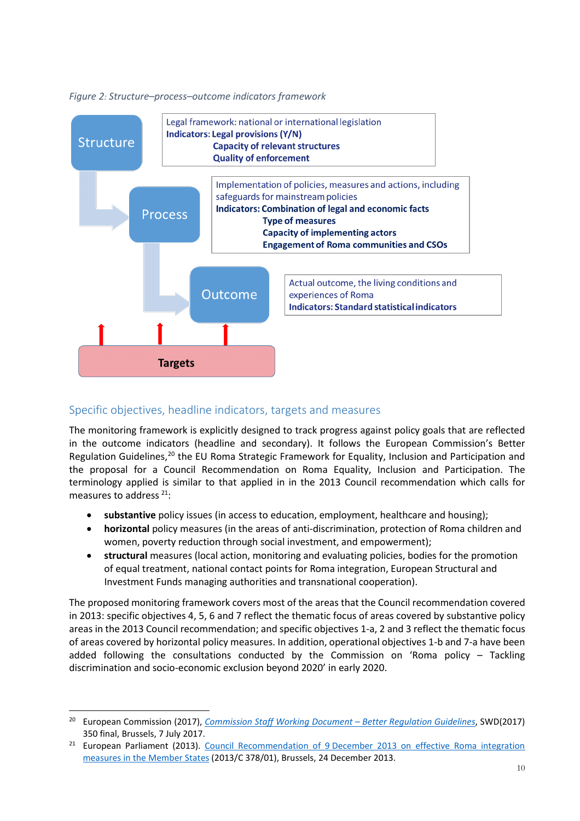

#### *Figure 2: Structure–process–outcome indicators framework*

### <span id="page-9-0"></span>Specific objectives, headline indicators, targets and measures

The monitoring framework is explicitly designed to track progress against policy goals that are reflected in the outcome indicators (headline and secondary). It follows the European Commission's Better Regulation Guidelines,<sup>[20](#page-9-1)</sup> the EU Roma Strategic Framework for Equality, Inclusion and Participation and the proposal for a Council Recommendation on Roma Equality, Inclusion and Participation. The terminology applied is similar to that applied in in the 2013 Council recommendation which calls for measures to address<sup>[21](#page-9-2)</sup>:

- **substantive** policy issues (in access to education, employment, healthcare and housing);
- **horizontal** policy measures (in the areas of anti-discrimination, protection of Roma children and women, poverty reduction through social investment, and empowerment);
- **structural** measures (local action, monitoring and evaluating policies, bodies for the promotion of equal treatment, national contact points for Roma integration, European Structural and Investment Funds managing authorities and transnational cooperation).

The proposed monitoring framework covers most of the areas that the Council recommendation covered in 2013: specific objectives 4, 5, 6 and 7 reflect the thematic focus of areas covered by substantive policy areas in the 2013 Council recommendation; and specific objectives 1-a, 2 and 3 reflect the thematic focus of areas covered by horizontal policy measures. In addition, operational objectives 1-b and 7-a have been added following the consultations conducted by the Commission on 'Roma policy – Tackling discrimination and socio-economic exclusion beyond 2020' in early 2020.

<span id="page-9-1"></span> <sup>20</sup> European Commission (2017), *[Commission Staff Working Document –](https://ec.europa.eu/transparency/regdoc/rep/10102/2017/EN/SWD-2017-350-F1-EN-MAIN-PART-1.PDF) Better Regulation Guidelines*, SWD(2017) 350 final, Brussels, 7 July 2017.

<span id="page-9-2"></span><sup>&</sup>lt;sup>21</sup> European Parliament (2013). Council Recommendation of 9 December 2013 on effective Roma integration [measures in the Member States](https://eur-lex.europa.eu/legal-content/EN/TXT/PDF/?uri=CELEX:32013H1224(01)&from=en) (2013/C 378/01), Brussels, 24 December 2013.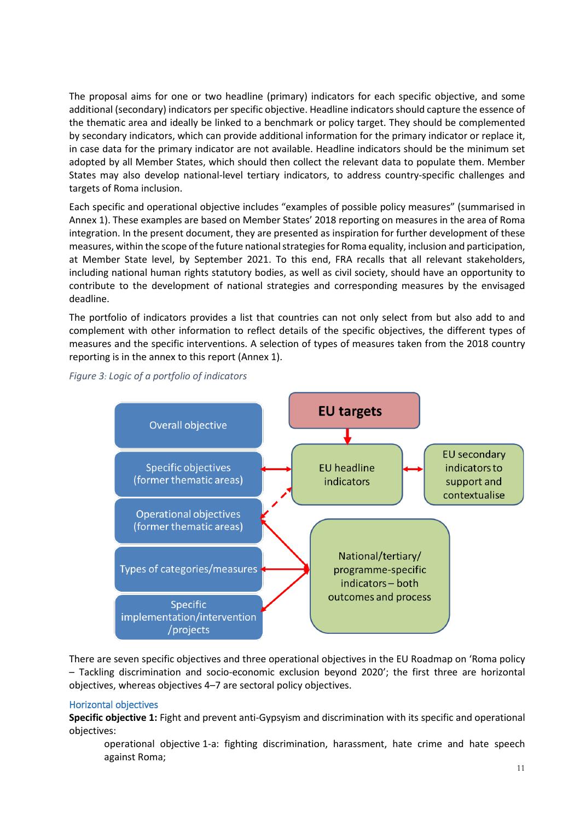The proposal aims for one or two headline (primary) indicators for each specific objective, and some additional (secondary) indicators per specific objective. Headline indicators should capture the essence of the thematic area and ideally be linked to a benchmark or policy target. They should be complemented by secondary indicators, which can provide additional information for the primary indicator or replace it, in case data for the primary indicator are not available. Headline indicators should be the minimum set adopted by all Member States, which should then collect the relevant data to populate them. Member States may also develop national-level tertiary indicators, to address country-specific challenges and targets of Roma inclusion.

Each specific and operational objective includes "examples of possible policy measures" (summarised in Annex 1). These examples are based on Member States' 2018 reporting on measures in the area of Roma integration. In the present document, they are presented as inspiration for further development of these measures, within the scope of the future national strategiesfor Roma equality, inclusion and participation, at Member State level, by September 2021. To this end, FRA recalls that all relevant stakeholders, including national human rights statutory bodies, as well as civil society, should have an opportunity to contribute to the development of national strategies and corresponding measures by the envisaged deadline.

The portfolio of indicators provides a list that countries can not only select from but also add to and complement with other information to reflect details of the specific objectives, the different types of measures and the specific interventions. A selection of types of measures taken from the 2018 country reporting is in the annex to this report (Annex 1).



*Figure 3: Logic of a portfolio of indicators*

There are seven specific objectives and three operational objectives in the EU Roadmap on 'Roma policy – Tackling discrimination and socio-economic exclusion beyond 2020'; the first three are horizontal objectives, whereas objectives 4–7 are sectoral policy objectives.

#### Horizontal objectives

**Specific objective 1:** Fight and prevent anti-Gypsyism and discrimination with its specific and operational objectives:

operational objective 1-a: fighting discrimination, harassment, hate crime and hate speech against Roma;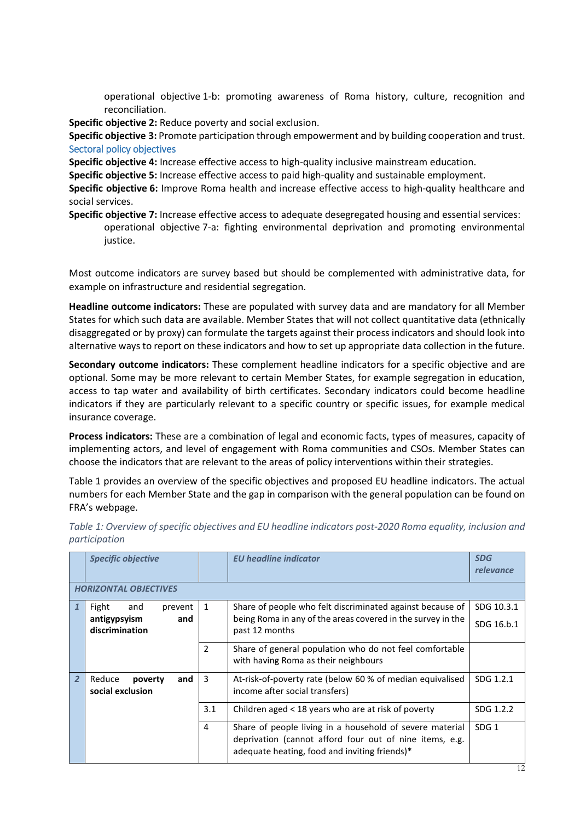operational objective 1-b: promoting awareness of Roma history, culture, recognition and reconciliation.

**Specific objective 2:** Reduce poverty and social exclusion.

**Specific objective 3:** Promote participation through empowerment and by building cooperation and trust. Sectoral policy objectives

**Specific objective 4:** Increase effective access to high-quality inclusive mainstream education.

**Specific objective 5:** Increase effective access to paid high-quality and sustainable employment.

**Specific objective 6:** Improve Roma health and increase effective access to high-quality healthcare and social services.

**Specific objective 7:** Increase effective access to adequate desegregated housing and essential services: operational objective 7-a: fighting environmental deprivation and promoting environmental justice.

Most outcome indicators are survey based but should be complemented with administrative data, for example on infrastructure and residential segregation.

**Headline outcome indicators:** These are populated with survey data and are mandatory for all Member States for which such data are available. Member States that will not collect quantitative data (ethnically disaggregated or by proxy) can formulate the targets against their process indicators and should look into alternative ways to report on these indicators and how to set up appropriate data collection in the future.

**Secondary outcome indicators:** These complement headline indicators for a specific objective and are optional. Some may be more relevant to certain Member States, for example segregation in education, access to tap water and availability of birth certificates. Secondary indicators could become headline indicators if they are particularly relevant to a specific country or specific issues, for example medical insurance coverage.

**Process indicators:** These are a combination of legal and economic facts, types of measures, capacity of implementing actors, and level of engagement with Roma communities and CSOs. Member States can choose the indicators that are relevant to the areas of policy interventions within their strategies.

Table 1 provides an overview of the specific objectives and proposed EU headline indicators. The actual numbers for each Member State and the gap in comparison with the general population can be found on FRA's webpage.

| <b>Specific objective</b>                                        |               | <b>EU</b> headline indicator                                                                                                                                         | <b>SDG</b><br>relevance  |
|------------------------------------------------------------------|---------------|----------------------------------------------------------------------------------------------------------------------------------------------------------------------|--------------------------|
| <b>HORIZONTAL OBJECTIVES</b>                                     |               |                                                                                                                                                                      |                          |
| Fight<br>and<br>prevent<br>antigypsyism<br>and<br>discrimination | 1             | Share of people who felt discriminated against because of<br>being Roma in any of the areas covered in the survey in the<br>past 12 months                           | SDG 10.3.1<br>SDG 16.b.1 |
|                                                                  | $\mathcal{P}$ | Share of general population who do not feel comfortable<br>with having Roma as their neighbours                                                                      |                          |
| and<br>Reduce<br>poverty<br>social exclusion                     | 3             | At-risk-of-poverty rate (below 60 % of median equivalised<br>income after social transfers)                                                                          | SDG 1.2.1                |
|                                                                  | 3.1           | Children aged < 18 years who are at risk of poverty                                                                                                                  | SDG 1.2.2                |
|                                                                  | 4             | Share of people living in a household of severe material<br>deprivation (cannot afford four out of nine items, e.g.<br>adequate heating, food and inviting friends)* | SDG <sub>1</sub>         |

*Table 1: Overview of specific objectives and EU headline indicators post-2020 Roma equality, inclusion and participation*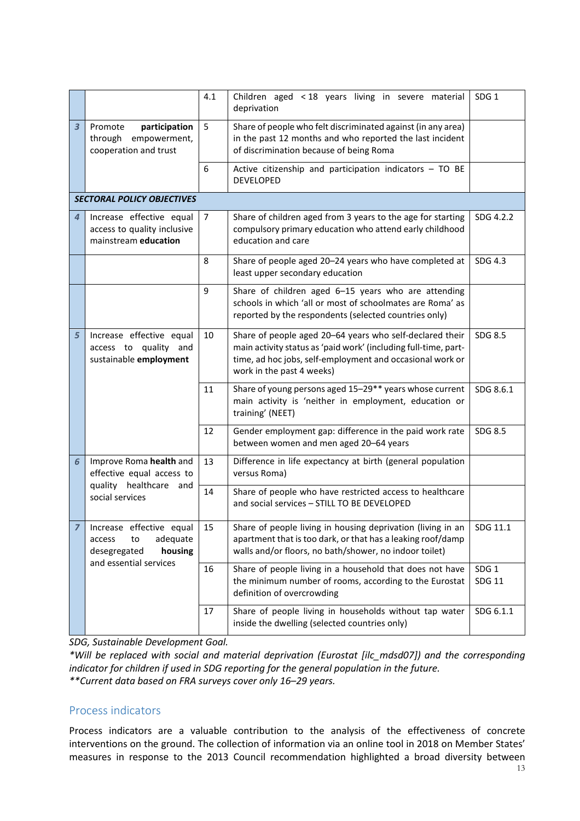|                         |                                                                                 | 4.1            | Children aged < 18 years living in severe material<br>deprivation                                                                                                                                                     | SDG <sub>1</sub>                  |
|-------------------------|---------------------------------------------------------------------------------|----------------|-----------------------------------------------------------------------------------------------------------------------------------------------------------------------------------------------------------------------|-----------------------------------|
| $\overline{\mathbf{3}}$ | participation<br>Promote<br>through<br>empowerment,<br>cooperation and trust    | 5              | Share of people who felt discriminated against (in any area)<br>in the past 12 months and who reported the last incident<br>of discrimination because of being Roma                                                   |                                   |
|                         |                                                                                 | 6              | Active citizenship and participation indicators - TO BE<br><b>DEVELOPED</b>                                                                                                                                           |                                   |
|                         | <b>SECTORAL POLICY OBJECTIVES</b>                                               |                |                                                                                                                                                                                                                       |                                   |
| 4                       | Increase effective equal<br>access to quality inclusive<br>mainstream education | $\overline{7}$ | Share of children aged from 3 years to the age for starting<br>compulsory primary education who attend early childhood<br>education and care                                                                          | SDG 4.2.2                         |
|                         |                                                                                 | 8              | Share of people aged 20-24 years who have completed at<br>least upper secondary education                                                                                                                             | SDG 4.3                           |
|                         |                                                                                 | 9              | Share of children aged 6-15 years who are attending<br>schools in which 'all or most of schoolmates are Roma' as<br>reported by the respondents (selected countries only)                                             |                                   |
| 5                       | Increase effective equal<br>access to quality and<br>sustainable employment     | 10             | Share of people aged 20-64 years who self-declared their<br>main activity status as 'paid work' (including full-time, part-<br>time, ad hoc jobs, self-employment and occasional work or<br>work in the past 4 weeks) | SDG 8.5                           |
|                         |                                                                                 | 11             | Share of young persons aged 15-29** years whose current<br>main activity is 'neither in employment, education or<br>training' (NEET)                                                                                  | SDG 8.6.1                         |
|                         |                                                                                 | 12             | Gender employment gap: difference in the paid work rate<br>between women and men aged 20-64 years                                                                                                                     | SDG 8.5                           |
| 6                       | Improve Roma health and<br>effective equal access to                            | 13             | Difference in life expectancy at birth (general population<br>versus Roma)                                                                                                                                            |                                   |
|                         | quality healthcare and<br>social services                                       | 14             | Share of people who have restricted access to healthcare<br>and social services - STILL TO BE DEVELOPED                                                                                                               |                                   |
| $\overline{z}$          | Increase effective equal<br>adequate<br>to<br>access<br>desegregated<br>housing | 15             | Share of people living in housing deprivation (living in an<br>apartment that is too dark, or that has a leaking roof/damp<br>walls and/or floors, no bath/shower, no indoor toilet)                                  | SDG 11.1                          |
|                         | and essential services                                                          | 16             | Share of people living in a household that does not have<br>the minimum number of rooms, according to the Eurostat<br>definition of overcrowding                                                                      | SDG <sub>1</sub><br><b>SDG 11</b> |
|                         |                                                                                 | 17             | Share of people living in households without tap water<br>inside the dwelling (selected countries only)                                                                                                               | SDG 6.1.1                         |

*SDG, Sustainable Development Goal.*

*\*Will be replaced with social and material deprivation (Eurostat [ilc\_mdsd07]) and the corresponding indicator for children if used in SDG reporting for the general population in the future. \*\*Current data based on FRA surveys cover only 16–29 years.*

#### <span id="page-12-0"></span>Process indicators

Process indicators are a valuable contribution to the analysis of the effectiveness of concrete interventions on the ground. The collection of information via an online tool in 2018 on Member States' measures in response to the 2013 Council recommendation highlighted a broad diversity between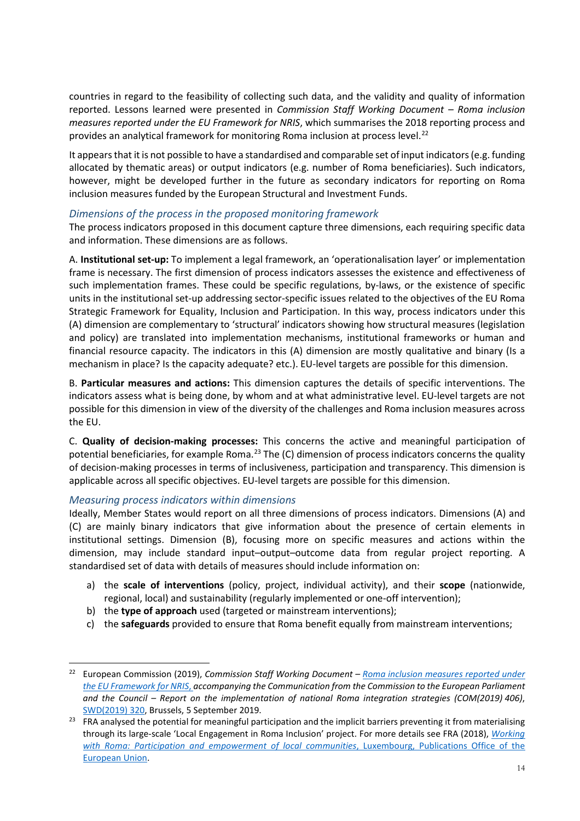countries in regard to the feasibility of collecting such data, and the validity and quality of information reported. Lessons learned were presented in *Commission Staff Working Document – Roma inclusion measures reported under the EU Framework for NRIS*, which summarises the 2018 reporting process and provides an analytical framework for monitoring Roma inclusion at process level. [22](#page-13-2)

It appears that it is not possible to have a standardised and comparable set of input indicators (e.g. funding allocated by thematic areas) or output indicators (e.g. number of Roma beneficiaries). Such indicators, however, might be developed further in the future as secondary indicators for reporting on Roma inclusion measures funded by the European Structural and Investment Funds.

#### <span id="page-13-0"></span>*Dimensions of the process in the proposed monitoring framework*

The process indicators proposed in this document capture three dimensions, each requiring specific data and information. These dimensions are as follows.

A. **Institutional set-up:** To implement a legal framework, an 'operationalisation layer' or implementation frame is necessary. The first dimension of process indicators assesses the existence and effectiveness of such implementation frames. These could be specific regulations, by-laws, or the existence of specific units in the institutional set-up addressing sector-specific issues related to the objectives of the EU Roma Strategic Framework for Equality, Inclusion and Participation. In this way, process indicators under this (A) dimension are complementary to 'structural' indicators showing how structural measures (legislation and policy) are translated into implementation mechanisms, institutional frameworks or human and financial resource capacity. The indicators in this (A) dimension are mostly qualitative and binary (Is a mechanism in place? Is the capacity adequate? etc.). EU-level targets are possible for this dimension.

B. **Particular measures and actions:** This dimension captures the details of specific interventions. The indicators assess what is being done, by whom and at what administrative level. EU-level targets are not possible for this dimension in view of the diversity of the challenges and Roma inclusion measures across the EU.

C. **Quality of decision-making processes:** This concerns the active and meaningful participation of potential beneficiaries, for example Roma.<sup>[23](#page-13-3)</sup> The (C) dimension of process indicators concerns the quality of decision-making processes in terms of inclusiveness, participation and transparency. This dimension is applicable across all specific objectives. EU-level targets are possible for this dimension.

#### <span id="page-13-1"></span>*Measuring process indicators within dimensions*

Ideally, Member States would report on all three dimensions of process indicators. Dimensions (A) and (C) are mainly binary indicators that give information about the presence of certain elements in institutional settings. Dimension (B), focusing more on specific measures and actions within the dimension, may include standard input–output–outcome data from regular project reporting. A standardised set of data with details of measures should include information on:

- a) the **scale of interventions** (policy, project, individual activity), and their **scope** (nationwide, regional, local) and sustainability (regularly implemented or one-off intervention);
- b) the **type of approach** used (targeted or mainstream interventions);
- c) the **safeguards** provided to ensure that Roma benefit equally from mainstream interventions;

<span id="page-13-2"></span> <sup>22</sup> European Commission (2019), *Commission Staff Working Document – [Roma inclusion measures reported under](https://ec.europa.eu/info/sites/info/files/cswd_roma_inclusion_measures_reported_under_the_eu_framework_for_nris_pt1_en.pdf)  [the EU Framework for NRIS](https://ec.europa.eu/info/sites/info/files/cswd_roma_inclusion_measures_reported_under_the_eu_framework_for_nris_pt1_en.pdf)*, *accompanying the Communication from the Commission to the European Parliament and the Council – Report on the implementation of national Roma integration strategies (COM(2019) 406)*, SWD(2019) 320, Brussels, 5 September 2019.

<span id="page-13-3"></span><sup>&</sup>lt;sup>23</sup> FRA analysed the potential for meaningful participation and the implicit barriers preventing it from materialising through its large-scale 'Local Engagement in Roma Inclusion' project. For more details see FRA (2018), *[Working](https://fra.europa.eu/sites/default/files/fra_uploads/fra-2018-working-with-roma_en.pdf)  [with Roma: Participation and empowerment of local communities](https://fra.europa.eu/sites/default/files/fra_uploads/fra-2018-working-with-roma_en.pdf)*, Luxembourg, Publications Office of the European Union.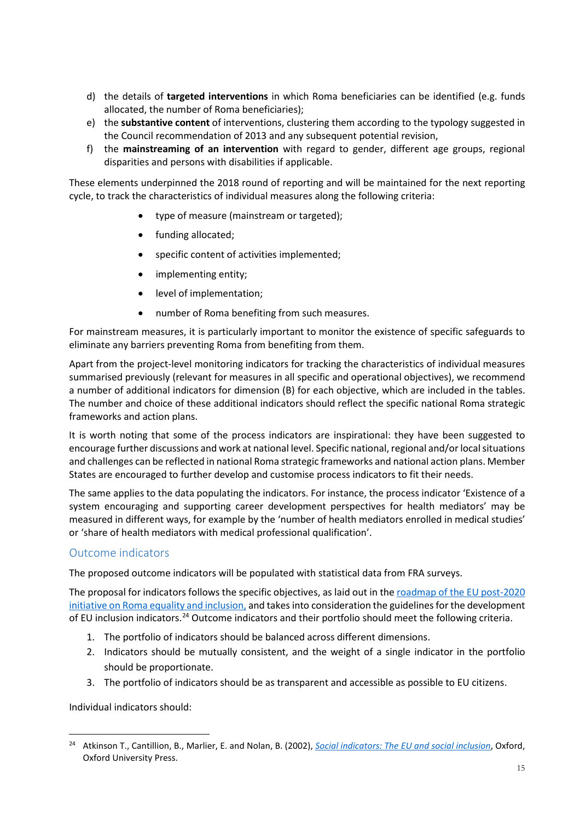- d) the details of **targeted interventions** in which Roma beneficiaries can be identified (e.g. funds allocated, the number of Roma beneficiaries);
- e) the **substantive content** of interventions, clustering them according to the typology suggested in the Council recommendation of 2013 and any subsequent potential revision,
- f) the **mainstreaming of an intervention** with regard to gender, different age groups, regional disparities and persons with disabilities if applicable.

These elements underpinned the 2018 round of reporting and will be maintained for the next reporting cycle, to track the characteristics of individual measures along the following criteria:

- type of measure (mainstream or targeted);
- funding allocated;
- specific content of activities implemented;
- implementing entity;
- level of implementation;
- number of Roma benefiting from such measures.

For mainstream measures, it is particularly important to monitor the existence of specific safeguards to eliminate any barriers preventing Roma from benefiting from them.

Apart from the project-level monitoring indicators for tracking the characteristics of individual measures summarised previously (relevant for measures in all specific and operational objectives), we recommend a number of additional indicators for dimension (B) for each objective, which are included in the tables. The number and choice of these additional indicators should reflect the specific national Roma strategic frameworks and action plans.

It is worth noting that some of the process indicators are inspirational: they have been suggested to encourage further discussions and work at national level. Specific national,regional and/or local situations and challenges can be reflected in national Roma strategic frameworks and national action plans. Member States are encouraged to further develop and customise process indicators to fit their needs.

The same applies to the data populating the indicators. For instance, the process indicator 'Existence of a system encouraging and supporting career development perspectives for health mediators' may be measured in different ways, for example by the 'number of health mediators enrolled in medical studies' or 'share of health mediators with medical professional qualification'.

### <span id="page-14-0"></span>Outcome indicators

The proposed outcome indicators will be populated with statistical data from FRA surveys.

The proposal for indicators follows the specific objectives, as laid out in the [roadmap of the EU post-2020](https://ec.europa.eu/info/law/better-regulation/have-your-say/initiatives/12191-EU-post-2020-Roma-policy)  initiative on [Roma equality and inclusion,](https://ec.europa.eu/info/law/better-regulation/have-your-say/initiatives/12191-EU-post-2020-Roma-policy) and takes into consideration the guidelines for the development of EU inclusion indicators.<sup>[24](#page-14-1)</sup> Outcome indicators and their portfolio should meet the following criteria.

- 1. The portfolio of indicators should be balanced across different dimensions.
- 2. Indicators should be mutually consistent, and the weight of a single indicator in the portfolio should be proportionate.
- 3. The portfolio of indicators should be as transparent and accessible as possible to EU citizens.

Individual indicators should:

<span id="page-14-1"></span> <sup>24</sup> Atkinson T., Cantillion, B., Marlier, E. and Nolan, B. (2002), *[Social indicators: The EU and social inclusion](http://www.oxfordscholarship.com/view/10.1093/0199253498.001.0001/acprof-9780199253494)*, Oxford, Oxford University Press.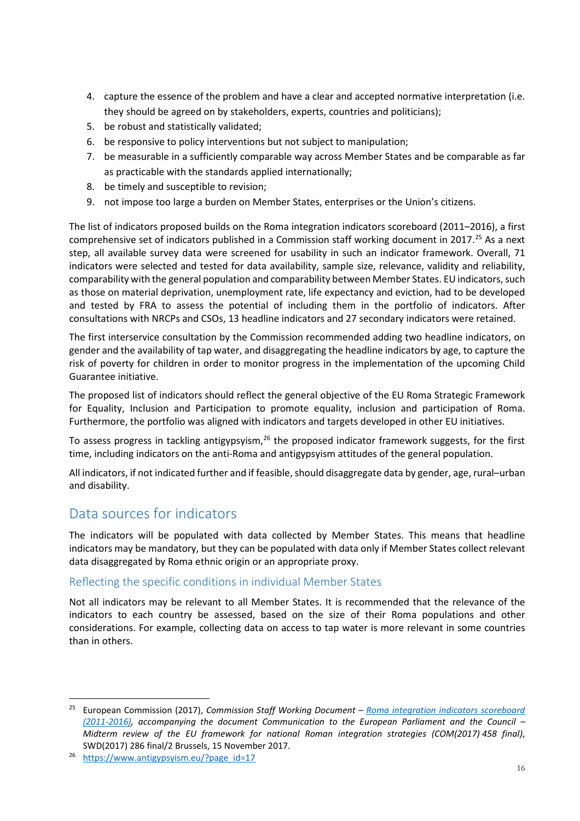- 4. capture the essence of the problem and have a clear and accepted normative interpretation (i.e. they should be agreed on by stakeholders, experts, countries and politicians);
- 5. be robust and statistically validated;
- 6. be responsive to policy interventions but not subject to manipulation;
- 7. be measurable in a sufficiently comparable way across Member States and be comparable as far as practicable with the standards applied internationally;
- 8. be timely and susceptible to revision;
- 9. not impose too large a burden on Member States, enterprises or the Union's citizens.

The list of indicators proposed builds on the Roma integration indicators scoreboard (2011–2016), a first comprehensive set of indicators published in a Commission staff working document in 2017. [25](#page-15-2) As a next step, all available survey data were screened for usability in such an indicator framework. Overall, 71 indicators were selected and tested for data availability, sample size, relevance, validity and reliability, comparability with the general population and comparability between Member States. EU indicators, such as those on material deprivation, unemployment rate, life expectancy and eviction, had to be developed and tested by FRA to assess the potential of including them in the portfolio of indicators. After consultations with NRCPs and CSOs, 13 headline indicators and 27 secondary indicators were retained.

The first interservice consultation by the Commission recommended adding two headline indicators, on gender and the availability of tap water, and disaggregating the headline indicators by age, to capture the risk of poverty for children in order to monitor progress in the implementation of the upcoming Child Guarantee initiative.

The proposed list of indicators should reflect the general objective of the EU Roma Strategic Framework for Equality, Inclusion and Participation to promote equality, inclusion and participation of Roma. Furthermore, the portfolio was aligned with indicators and targets developed in other EU initiatives.

To assess progress in tackling antigypsyism,<sup>[26](#page-15-3)</sup> the proposed indicator framework suggests, for the first time, including indicators on the anti-Roma and antigypsyism attitudes of the general population.

All indicators, if not indicated further and if feasible, should disaggregate data by gender, age, rural–urban and disability.

# <span id="page-15-0"></span>Data sources for indicators

The indicators will be populated with data collected by Member States. This means that headline indicators may be mandatory, but they can be populated with data only if Member States collect relevant data disaggregated by Roma ethnic origin or an appropriate proxy.

### <span id="page-15-1"></span>Reflecting the specific conditions in individual Member States

Not all indicators may be relevant to all Member States. It is recommended that the relevance of the indicators to each country be assessed, based on the size of their Roma populations and other considerations. For example, collecting data on access to tap water is more relevant in some countries than in others.

<span id="page-15-2"></span> <sup>25</sup> European Commission (2017), *Commission Staff Working Document – [Roma integration indicators scoreboard](https://eur-lex.europa.eu/legal-content/EN/TXT/HTML/?uri=CELEX:52017SC0286R(01)&from=GA)  [\(2011-2016\),](https://eur-lex.europa.eu/legal-content/EN/TXT/HTML/?uri=CELEX:52017SC0286R(01)&from=GA) accompanying the document Communication to the European Parliament and the Council – Midterm review of the EU framework for national Roman integration strategies (COM(2017) 458 final)*, SWD(2017) 286 final/2 Brussels, 15 November 2017.

<span id="page-15-3"></span><sup>26</sup> [https://www.antigypsyism.eu/?page\\_id=17](https://www.antigypsyism.eu/?page_id=17)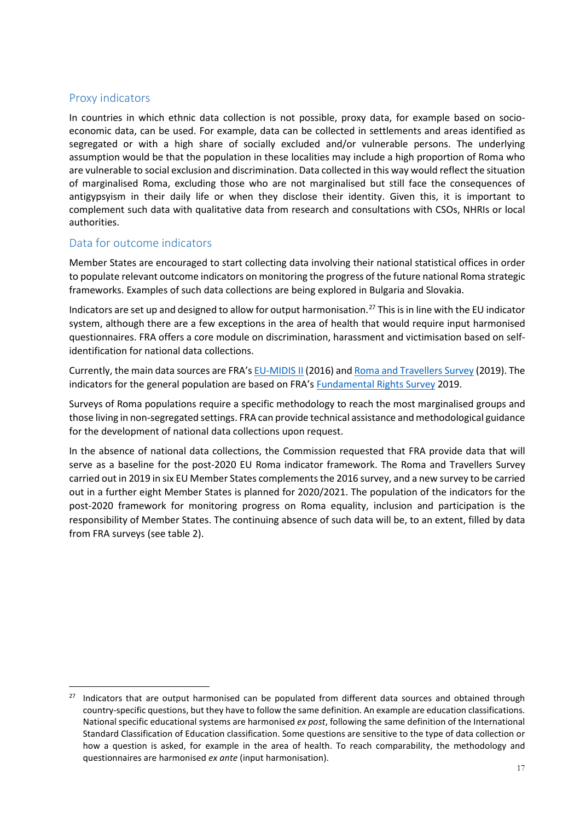### <span id="page-16-0"></span>Proxy indicators

In countries in which ethnic data collection is not possible, proxy data, for example based on socioeconomic data, can be used. For example, data can be collected in settlements and areas identified as segregated or with a high share of socially excluded and/or vulnerable persons. The underlying assumption would be that the population in these localities may include a high proportion of Roma who are vulnerable to social exclusion and discrimination. Data collected in this way would reflect the situation of marginalised Roma, excluding those who are not marginalised but still face the consequences of antigypsyism in their daily life or when they disclose their identity. Given this, it is important to complement such data with qualitative data from research and consultations with CSOs, NHRIs or local authorities.

### <span id="page-16-1"></span>Data for outcome indicators

Member States are encouraged to start collecting data involving their national statistical offices in order to populate relevant outcome indicators on monitoring the progress of the future national Roma strategic frameworks. Examples of such data collections are being explored in Bulgaria and Slovakia.

Indicators are set up and designed to allow for output harmonisation[.27](#page-16-2) This is in line with the EU indicator system, although there are a few exceptions in the area of health that would require input harmonised questionnaires. FRA offers a core module on discrimination, harassment and victimisation based on selfidentification for national data collections.

Currently, the main data sources are FRA'[s EU-MIDIS](https://fra.europa.eu/en/project/2015/second-european-union-minorities-and-discrimination-survey) II (2016) an[d Roma and Travellers Survey](https://fra.europa.eu/en/project/2018/roma-and-travellers-survey-2018-2019) (2019). The indicators for the general population are based on FRA's [Fundamental Rights Survey](https://fra.europa.eu/en/project/2015/fundamental-rights-survey) 2019.

Surveys of Roma populations require a specific methodology to reach the most marginalised groups and those living in non-segregated settings. FRA can provide technical assistance and methodological guidance for the development of national data collections upon request.

In the absence of national data collections, the Commission requested that FRA provide data that will serve as a baseline for the post-2020 EU Roma indicator framework. The Roma and Travellers Survey carried out in 2019 in six EU Member States complements the 2016 survey, and a new survey to be carried out in a further eight Member States is planned for 2020/2021. The population of the indicators for the post-2020 framework for monitoring progress on Roma equality, inclusion and participation is the responsibility of Member States. The continuing absence of such data will be, to an extent, filled by data from FRA surveys (see table 2).

<span id="page-16-2"></span> $27$  Indicators that are output harmonised can be populated from different data sources and obtained through country-specific questions, but they have to follow the same definition. An example are education classifications. National specific educational systems are harmonised *ex post*, following the same definition of the International Standard Classification of Education classification. Some questions are sensitive to the type of data collection or how a question is asked, for example in the area of health. To reach comparability, the methodology and questionnaires are harmonised *ex ante* (input harmonisation).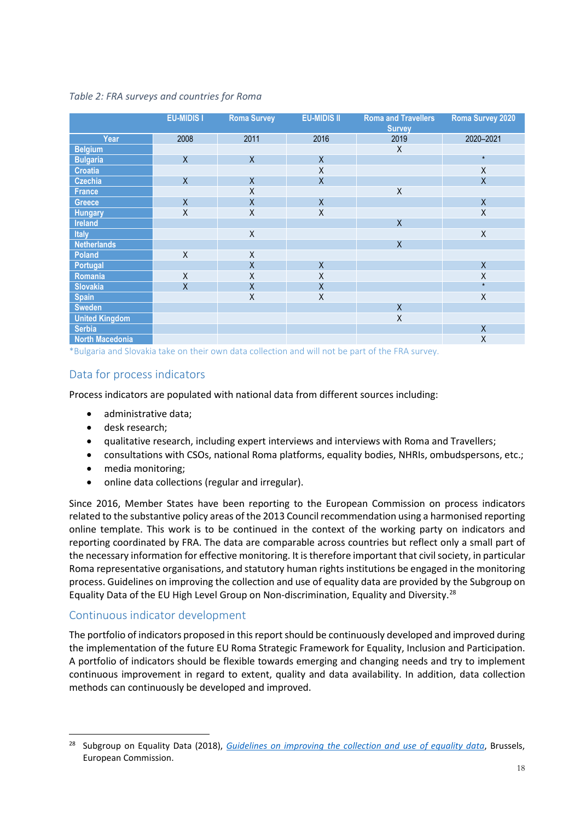#### *Table 2: FRA surveys and countries for Roma*

|                        | <b>EU-MIDIS I</b> | <b>Roma Survey</b>      | <b>EU-MIDIS II</b> | <b>Roma and Travellers</b><br><b>Survey</b> | <b>Roma Survey 2020</b> |
|------------------------|-------------------|-------------------------|--------------------|---------------------------------------------|-------------------------|
| Year                   | 2008              | 2011                    | 2016               | 2019                                        | 2020-2021               |
| <b>Belgium</b>         |                   |                         |                    | Χ                                           |                         |
| <b>Bulgaria</b>        | $\mathsf{X}$      | $\mathsf{X}$            | X                  |                                             | $\star$                 |
| <b>Croatia</b>         |                   |                         | Χ                  |                                             | X                       |
| Czechia                | $\mathsf{X}$      | $\mathsf{X}$            | $\overline{X}$     |                                             | $\mathsf X$             |
| France                 |                   | X                       |                    | X                                           |                         |
| Greece                 | $\overline{X}$    | $\overline{X}$          | $\mathsf{X}$       |                                             | $\sf X$                 |
| <b>Hungary</b>         | X                 | Χ                       | X                  |                                             | Χ                       |
| Ireland                |                   |                         |                    | $\sf X$                                     |                         |
| Italy                  |                   | $\sf X$                 |                    |                                             | $\mathsf X$             |
| <b>Netherlands</b>     |                   |                         |                    | $\sf X$                                     |                         |
| Poland                 | X                 | X                       |                    |                                             |                         |
| Portugal               |                   | $\sf X$                 | $\mathsf{X}$       |                                             | $\mathsf{X}$            |
| Romania                | $\sf X$           | Χ                       | Χ                  |                                             | $\mathsf X$             |
| <b>Slovakia</b>        | $\sf X$           | $\overline{\mathsf{X}}$ | Χ                  |                                             | $\star$                 |
| <b>Spain</b>           |                   | $\pmb{\mathsf{X}}$      | X                  |                                             | $\mathsf X$             |
| <b>Sweden</b>          |                   |                         |                    | X                                           |                         |
| <b>United Kingdom</b>  |                   |                         |                    | $\sf X$                                     |                         |
| <b>Serbia</b>          |                   |                         |                    |                                             | X                       |
| <b>North Macedonia</b> |                   |                         |                    |                                             | Χ                       |

\*Bulgaria and Slovakia take on their own data collection and will not be part of the FRA survey.

### <span id="page-17-0"></span>Data for process indicators

Process indicators are populated with national data from different sources including:

- administrative data;
- desk research;
- qualitative research, including expert interviews and interviews with Roma and Travellers;
- consultations with CSOs, national Roma platforms, equality bodies, NHRIs, ombudspersons, etc.;
- media monitoring;
- online data collections (regular and irregular).

Since 2016, Member States have been reporting to the European Commission on process indicators related to the substantive policy areas of the 2013 Council recommendation using a harmonised reporting online template. This work is to be continued in the context of the working party on indicators and reporting coordinated by FRA. The data are comparable across countries but reflect only a small part of the necessary information for effective monitoring. It is therefore important that civil society, in particular Roma representative organisations, and statutory human rights institutions be engaged in the monitoring process. Guidelines on improving the collection and use of equality data are provided by the Subgroup on Equality Data of the EU High Level Group on Non-discrimination, Equality and Diversity.<sup>[28](#page-17-2)</sup>

#### <span id="page-17-1"></span>Continuous indicator development

The portfolio of indicators proposed in this report should be continuously developed and improved during the implementation of the future EU Roma Strategic Framework for Equality, Inclusion and Participation. A portfolio of indicators should be flexible towards emerging and changing needs and try to implement continuous improvement in regard to extent, quality and data availability. In addition, data collection methods can continuously be developed and improved.

<span id="page-17-2"></span> <sup>28</sup> Subgroup on Equality Data (2018), *[Guidelines on improving the collection and use of equality data](https://ec.europa.eu/info/sites/info/files/final_guidelines_4-10-18_without_date_july.pdf.)*, Brussels, European Commission.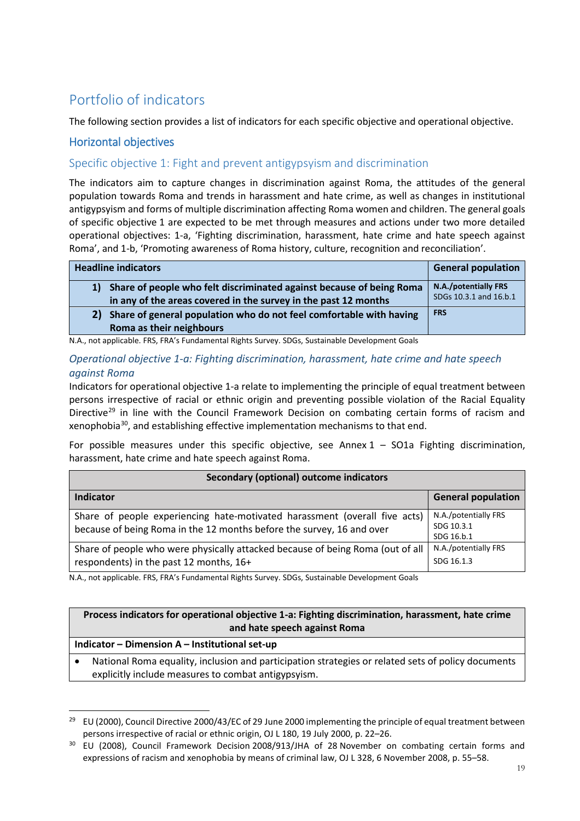# <span id="page-18-0"></span>Portfolio of indicators

The following section provides a list of indicators for each specific objective and operational objective.

### Horizontal objectives

### <span id="page-18-1"></span>Specific objective 1: Fight and prevent antigypsyism and discrimination

The indicators aim to capture changes in discrimination against Roma, the attitudes of the general population towards Roma and trends in harassment and hate crime, as well as changes in institutional antigypsyism and forms of multiple discrimination affecting Roma women and children. The general goals of specific objective 1 are expected to be met through measures and actions under two more detailed operational objectives: 1-a, 'Fighting discrimination, harassment, hate crime and hate speech against Roma', and 1-b, 'Promoting awareness of Roma history, culture, recognition and reconciliation'.

| <b>Headline indicators</b>                                                                                                                    | <b>General population</b>                      |
|-----------------------------------------------------------------------------------------------------------------------------------------------|------------------------------------------------|
| Share of people who felt discriminated against because of being Roma<br>1)<br>in any of the areas covered in the survey in the past 12 months | N.A./potentially FRS<br>SDGs 10.3.1 and 16.b.1 |
| Share of general population who do not feel comfortable with having<br>2)<br>Roma as their neighbours                                         | <b>FRS</b>                                     |

N.A., not applicable. FRS, FRA's Fundamental Rights Survey. SDGs, Sustainable Development Goals

#### <span id="page-18-2"></span>*Operational objective 1-a: Fighting discrimination, harassment, hate crime and hate speech against Roma*

Indicators for operational objective 1-a relate to implementing the principle of equal treatment between persons irrespective of racial or ethnic origin and preventing possible violation of the Racial Equality Directive<sup>[29](#page-18-3)</sup> in line with the Council Framework Decision on combating certain forms of racism and xenophobia[30](#page-18-4), and establishing effective implementation mechanisms to that end.

For possible measures under this specific objective, see Annex  $1 -$  SO1a Fighting discrimination, harassment, hate crime and hate speech against Roma.

| Secondary (optional) outcome indicators                                                                                                             |                                                  |  |  |  |
|-----------------------------------------------------------------------------------------------------------------------------------------------------|--------------------------------------------------|--|--|--|
| Indicator                                                                                                                                           | <b>General population</b>                        |  |  |  |
| Share of people experiencing hate-motivated harassment (overall five acts)<br>because of being Roma in the 12 months before the survey, 16 and over | N.A./potentially FRS<br>SDG 10.3.1<br>SDG 16.b.1 |  |  |  |
| Share of people who were physically attacked because of being Roma (out of all<br>respondents) in the past 12 months, 16+                           | N.A./potentially FRS<br>SDG 16.1.3               |  |  |  |

N.A., not applicable. FRS, FRA's Fundamental Rights Survey. SDGs, Sustainable Development Goals

#### **Process indicators for operational objective 1-a: Fighting discrimination, harassment, hate crime and hate speech against Roma**

#### **Indicator – Dimension A – Institutional set-up**

• National Roma equality, inclusion and participation strategies or related sets of policy documents explicitly include measures to combat antigypsyism.

<span id="page-18-3"></span><sup>&</sup>lt;sup>29</sup> EU (2000), Council Directive 2000/43/EC of 29 June 2000 implementing the principle of equal treatment between persons irrespective of racial or ethnic origin, OJ L 180, 19 July 2000, p. 22–26.

<span id="page-18-4"></span><sup>&</sup>lt;sup>30</sup> EU (2008), Council Framework Decision 2008/913/JHA of 28 November on combating certain forms and expressions of racism and xenophobia by means of criminal law, OJ L 328, 6 November 2008, p. 55–58.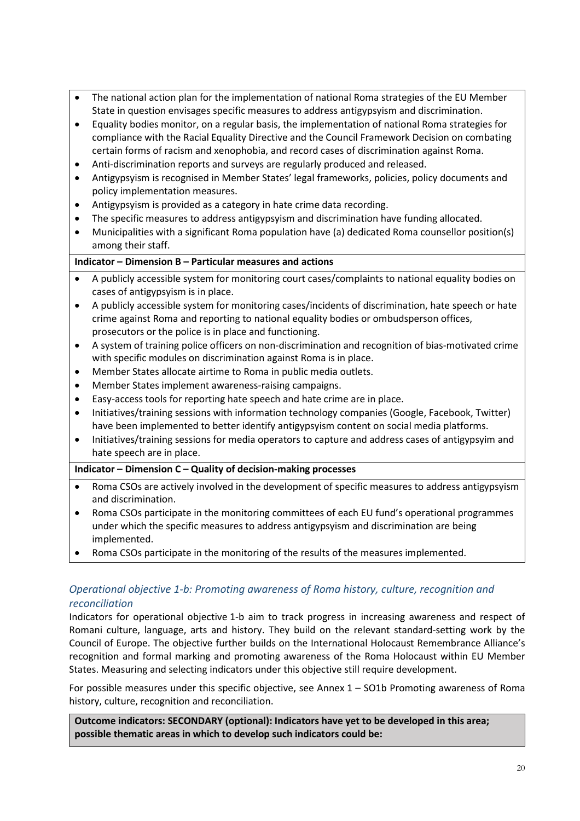- The national action plan for the implementation of national Roma strategies of the EU Member State in question envisages specific measures to address antigypsyism and discrimination.
- Equality bodies monitor, on a regular basis, the implementation of national Roma strategies for compliance with the Racial Equality Directive and the Council Framework Decision on combating certain forms of racism and xenophobia, and record cases of discrimination against Roma.
- Anti-discrimination reports and surveys are regularly produced and released.
- Antigypsyism is recognised in Member States' legal frameworks, policies, policy documents and policy implementation measures.
- Antigypsyism is provided as a category in hate crime data recording.
- The specific measures to address antigypsyism and discrimination have funding allocated.
- Municipalities with a significant Roma population have (a) dedicated Roma counsellor position(s) among their staff.

#### **Indicator – Dimension B – Particular measures and actions**

- A publicly accessible system for monitoring court cases/complaints to national equality bodies on cases of antigypsyism is in place.
- A publicly accessible system for monitoring cases/incidents of discrimination, hate speech or hate crime against Roma and reporting to national equality bodies or ombudsperson offices, prosecutors or the police is in place and functioning.
- A system of training police officers on non-discrimination and recognition of bias-motivated crime with specific modules on discrimination against Roma is in place.
- Member States allocate airtime to Roma in public media outlets.
- Member States implement awareness-raising campaigns.
- Easy-access tools for reporting hate speech and hate crime are in place.
- Initiatives/training sessions with information technology companies (Google, Facebook, Twitter) have been implemented to better identify antigypsyism content on social media platforms.
- Initiatives/training sessions for media operators to capture and address cases of antigypsyim and hate speech are in place.

#### **Indicator – Dimension C – Quality of decision-making processes**

- Roma CSOs are actively involved in the development of specific measures to address antigypsyism and discrimination.
- Roma CSOs participate in the monitoring committees of each EU fund's operational programmes under which the specific measures to address antigypsyism and discrimination are being implemented.
- Roma CSOs participate in the monitoring of the results of the measures implemented.

### <span id="page-19-0"></span>*Operational objective 1-b: Promoting awareness of Roma history, culture, recognition and reconciliation*

Indicators for operational objective 1-b aim to track progress in increasing awareness and respect of Romani culture, language, arts and history. They build on the relevant standard-setting work by the Council of Europe. The objective further builds on the International Holocaust Remembrance Alliance's recognition and formal marking and promoting awareness of the Roma Holocaust within EU Member States. Measuring and selecting indicators under this objective still require development.

For possible measures under this specific objective, see Annex 1 – SO1b Promoting awareness of Roma history, culture, recognition and reconciliation.

**Outcome indicators: SECONDARY (optional): Indicators have yet to be developed in this area; possible thematic areas in which to develop such indicators could be:**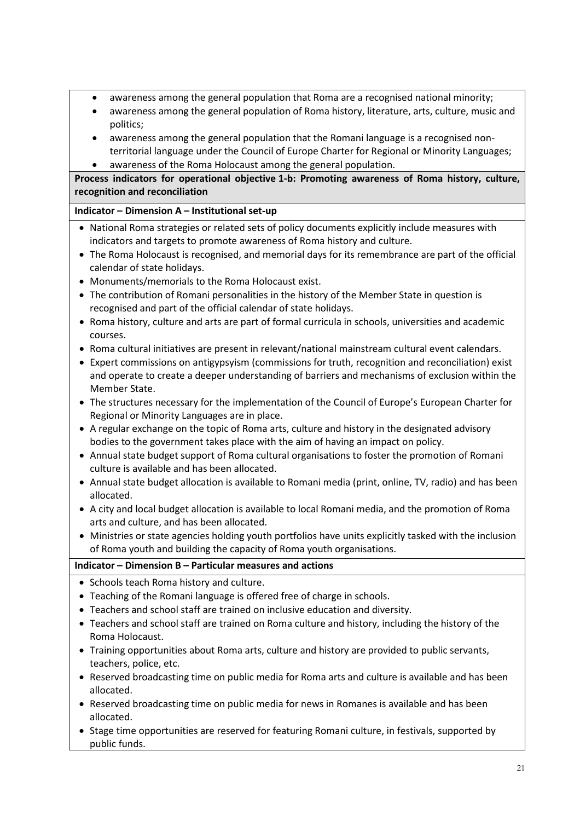- awareness among the general population that Roma are a recognised national minority;
- awareness among the general population of Roma history, literature, arts, culture, music and politics;
- awareness among the general population that the Romani language is a recognised nonterritorial language under the Council of Europe Charter for Regional or Minority Languages;
- awareness of the Roma Holocaust among the general population.

**Process indicators for operational objective 1-b: Promoting awareness of Roma history, culture, recognition and reconciliation**

### **Indicator – Dimension A – Institutional set-up**

- National Roma strategies or related sets of policy documents explicitly include measures with indicators and targets to promote awareness of Roma history and culture.
- The Roma Holocaust is recognised, and memorial days for its remembrance are part of the official calendar of state holidays.
- Monuments/memorials to the Roma Holocaust exist.
- The contribution of Romani personalities in the history of the Member State in question is recognised and part of the official calendar of state holidays.
- Roma history, culture and arts are part of formal curricula in schools, universities and academic courses.
- Roma cultural initiatives are present in relevant/national mainstream cultural event calendars.
- Expert commissions on antigypsyism (commissions for truth, recognition and reconciliation) exist and operate to create a deeper understanding of barriers and mechanisms of exclusion within the Member State.
- The structures necessary for the implementation of the Council of Europe's European Charter for Regional or Minority Languages are in place.
- A regular exchange on the topic of Roma arts, culture and history in the designated advisory bodies to the government takes place with the aim of having an impact on policy.
- Annual state budget support of Roma cultural organisations to foster the promotion of Romani culture is available and has been allocated.
- Annual state budget allocation is available to Romani media (print, online, TV, radio) and has been allocated.
- A city and local budget allocation is available to local Romani media, and the promotion of Roma arts and culture, and has been allocated.
- Ministries or state agencies holding youth portfolios have units explicitly tasked with the inclusion of Roma youth and building the capacity of Roma youth organisations.

#### **Indicator – Dimension B – Particular measures and actions**

- Schools teach Roma history and culture.
- Teaching of the Romani language is offered free of charge in schools.
- Teachers and school staff are trained on inclusive education and diversity.
- Teachers and school staff are trained on Roma culture and history, including the history of the Roma Holocaust.
- Training opportunities about Roma arts, culture and history are provided to public servants, teachers, police, etc.
- Reserved broadcasting time on public media for Roma arts and culture is available and has been allocated.
- Reserved broadcasting time on public media for news in Romanes is available and has been allocated.
- Stage time opportunities are reserved for featuring Romani culture, in festivals, supported by public funds.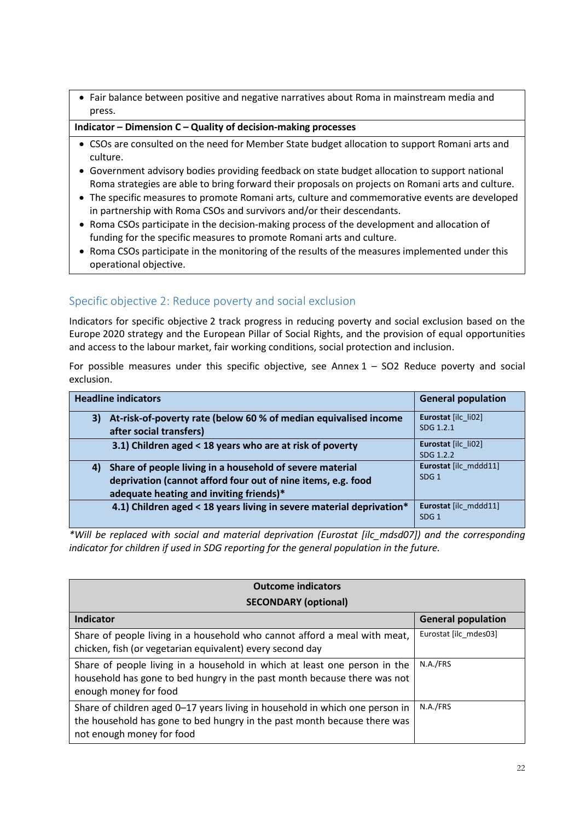• Fair balance between positive and negative narratives about Roma in mainstream media and press.

**Indicator – Dimension C – Quality of decision-making processes**

- CSOs are consulted on the need for Member State budget allocation to support Romani arts and culture.
- Government advisory bodies providing feedback on state budget allocation to support national Roma strategies are able to bring forward their proposals on projects on Romani arts and culture.
- The specific measures to promote Romani arts, culture and commemorative events are developed in partnership with Roma CSOs and survivors and/or their descendants.
- Roma CSOs participate in the decision-making process of the development and allocation of funding for the specific measures to promote Romani arts and culture.
- Roma CSOs participate in the monitoring of the results of the measures implemented under this operational objective.

### <span id="page-21-0"></span>Specific objective 2: Reduce poverty and social exclusion

Indicators for specific objective 2 track progress in reducing poverty and social exclusion based on the Europe 2020 strategy and the European Pillar of Social Rights, and the provision of equal opportunities and access to the labour market, fair working conditions, social protection and inclusion.

For possible measures under this specific objective, see Annex  $1 -$  SO2 Reduce poverty and social exclusion.

| <b>Headline indicators</b>                                                                                                                                                | <b>General population</b>                 |
|---------------------------------------------------------------------------------------------------------------------------------------------------------------------------|-------------------------------------------|
| At-risk-of-poverty rate (below 60 % of median equivalised income<br>3)<br>after social transfers)                                                                         | Eurostat [ilc li02]<br>SDG 1.2.1          |
| 3.1) Children aged < 18 years who are at risk of poverty                                                                                                                  | Eurostat [ilc li02]<br>SDG 1.2.2          |
| Share of people living in a household of severe material<br>4)<br>deprivation (cannot afford four out of nine items, e.g. food<br>adequate heating and inviting friends)* | Eurostat [ilc mddd11]<br>SDG <sub>1</sub> |
| 4.1) Children aged < 18 years living in severe material deprivation*                                                                                                      | Eurostat [ilc mddd11]<br>SDG <sub>1</sub> |

*\*Will be replaced with social and material deprivation (Eurostat [ilc\_mdsd07]) and the corresponding indicator for children if used in SDG reporting for the general population in the future.*

| <b>Outcome indicators</b><br><b>SECONDARY (optional)</b>                                                                                                                              |                           |  |  |  |
|---------------------------------------------------------------------------------------------------------------------------------------------------------------------------------------|---------------------------|--|--|--|
| Indicator                                                                                                                                                                             | <b>General population</b> |  |  |  |
| Share of people living in a household who cannot afford a meal with meat,<br>chicken, fish (or vegetarian equivalent) every second day                                                | Eurostat [ilc mdes03]     |  |  |  |
| Share of people living in a household in which at least one person in the<br>household has gone to bed hungry in the past month because there was not<br>enough money for food        | N.A./FRS                  |  |  |  |
| Share of children aged 0-17 years living in household in which one person in<br>the household has gone to bed hungry in the past month because there was<br>not enough money for food | N.A./FRS                  |  |  |  |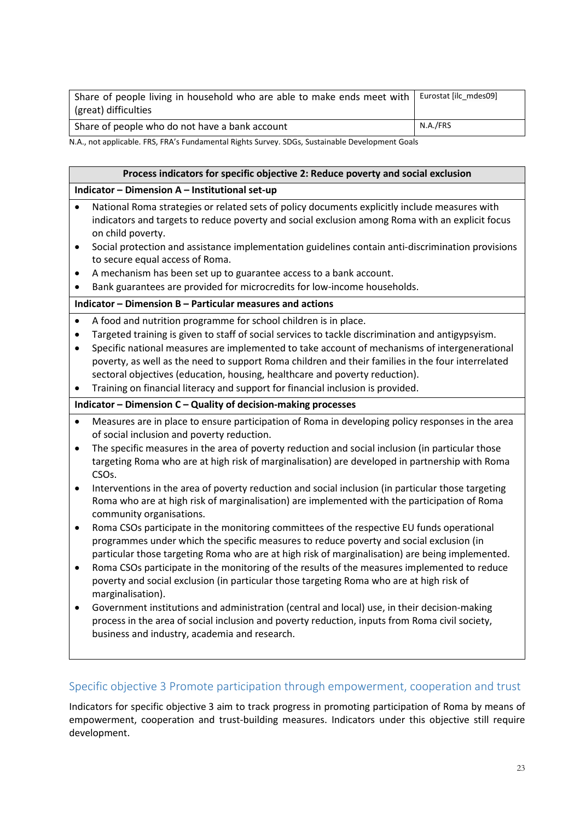| Share of people living in household who are able to make ends meet with | Eurostat [ilc mdes09] |
|-------------------------------------------------------------------------|-----------------------|
| (great) difficulties                                                    |                       |
| Share of people who do not have a bank account                          | N.A./FRS              |

N.A., not applicable. FRS, FRA's Fundamental Rights Survey. SDGs, Sustainable Development Goals

### **Process indicators for specific objective 2: Reduce poverty and social exclusion Indicator – Dimension A – Institutional set-up** • National Roma strategies or related sets of policy documents explicitly include measures with indicators and targets to reduce poverty and social exclusion among Roma with an explicit focus on child poverty. • Social protection and assistance implementation guidelines contain anti-discrimination provisions to secure equal access of Roma. • A mechanism has been set up to guarantee access to a bank account. • Bank guarantees are provided for microcredits for low-income households. **Indicator – Dimension B – Particular measures and actions** • A food and nutrition programme for school children is in place. • Targeted training is given to staff of social services to tackle discrimination and antigypsyism. • Specific national measures are implemented to take account of mechanisms of intergenerational poverty, as well as the need to support Roma children and their families in the four interrelated sectoral objectives (education, housing, healthcare and poverty reduction). • Training on financial literacy and support for financial inclusion is provided. **Indicator – Dimension C – Quality of decision-making processes** • Measures are in place to ensure participation of Roma in developing policy responses in the area of social inclusion and poverty reduction. The specific measures in the area of poverty reduction and social inclusion (in particular those targeting Roma who are at high risk of marginalisation) are developed in partnership with Roma CSOs. • Interventions in the area of poverty reduction and social inclusion (in particular those targeting Roma who are at high risk of marginalisation) are implemented with the participation of Roma community organisations. • Roma CSOs participate in the monitoring committees of the respective EU funds operational programmes under which the specific measures to reduce poverty and social exclusion (in particular those targeting Roma who are at high risk of marginalisation) are being implemented. • Roma CSOs participate in the monitoring of the results of the measures implemented to reduce poverty and social exclusion (in particular those targeting Roma who are at high risk of marginalisation). • Government institutions and administration (central and local) use, in their decision-making process in the area of social inclusion and poverty reduction, inputs from Roma civil society, business and industry, academia and research.

### <span id="page-22-0"></span>Specific objective 3 Promote participation through empowerment, cooperation and trust

Indicators for specific objective 3 aim to track progress in promoting participation of Roma by means of empowerment, cooperation and trust-building measures. Indicators under this objective still require development.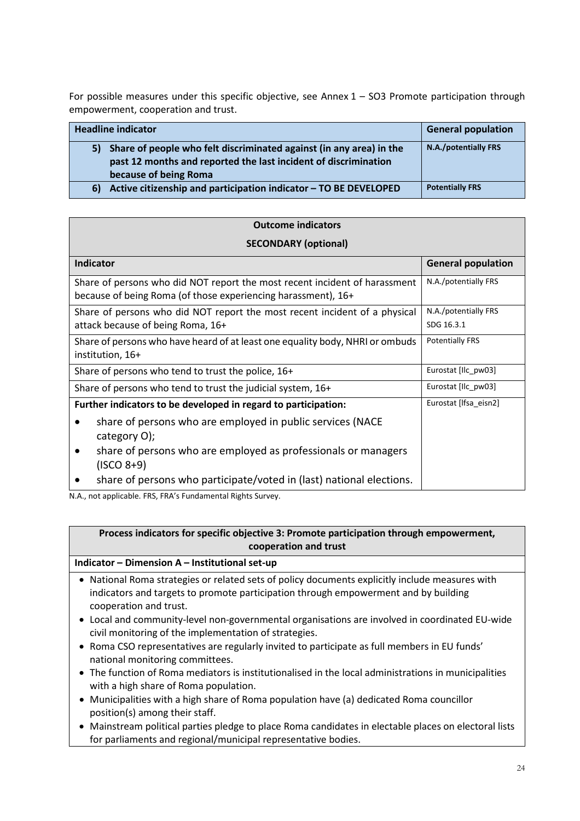For possible measures under this specific objective, see Annex  $1 -$  SO3 Promote participation through empowerment, cooperation and trust.

| <b>Headline indicator</b>                                                                                                                                          | <b>General population</b> |
|--------------------------------------------------------------------------------------------------------------------------------------------------------------------|---------------------------|
| 5) Share of people who felt discriminated against (in any area) in the<br>past 12 months and reported the last incident of discrimination<br>because of being Roma | N.A./potentially FRS      |
| Active citizenship and participation indicator - TO BE DEVELOPED<br>6)                                                                                             | <b>Potentially FRS</b>    |

| <b>Outcome indicators</b>                                                                                                                   |                           |  |  |  |  |
|---------------------------------------------------------------------------------------------------------------------------------------------|---------------------------|--|--|--|--|
| <b>SECONDARY (optional)</b>                                                                                                                 |                           |  |  |  |  |
| <b>Indicator</b>                                                                                                                            | <b>General population</b> |  |  |  |  |
| Share of persons who did NOT report the most recent incident of harassment<br>because of being Roma (of those experiencing harassment), 16+ | N.A./potentially FRS      |  |  |  |  |
| Share of persons who did NOT report the most recent incident of a physical                                                                  | N.A./potentially FRS      |  |  |  |  |
| attack because of being Roma, 16+                                                                                                           | SDG 16.3.1                |  |  |  |  |
| Share of persons who have heard of at least one equality body, NHRI or ombuds<br>institution, 16+                                           | <b>Potentially FRS</b>    |  |  |  |  |
| Share of persons who tend to trust the police, 16+                                                                                          | Eurostat [Ilc_pw03]       |  |  |  |  |
| Share of persons who tend to trust the judicial system, 16+                                                                                 | Eurostat [Ilc_pw03]       |  |  |  |  |
| Further indicators to be developed in regard to participation:                                                                              | Eurostat [Ifsa_eisn2]     |  |  |  |  |
| share of persons who are employed in public services (NACE<br>category O);                                                                  |                           |  |  |  |  |
| share of persons who are employed as professionals or managers<br>$\bullet$<br>$(ISCO 8+9)$                                                 |                           |  |  |  |  |
| share of persons who participate/voted in (last) national elections.                                                                        |                           |  |  |  |  |

N.A., not applicable. FRS, FRA's Fundamental Rights Survey.

### **Process indicators for specific objective 3: Promote participation through empowerment, cooperation and trust**

#### **Indicator – Dimension A – Institutional set-up**

- National Roma strategies or related sets of policy documents explicitly include measures with indicators and targets to promote participation through empowerment and by building cooperation and trust.
- Local and community-level non-governmental organisations are involved in coordinated EU-wide civil monitoring of the implementation of strategies.
- Roma CSO representatives are regularly invited to participate as full members in EU funds' national monitoring committees.
- The function of Roma mediators is institutionalised in the local administrations in municipalities with a high share of Roma population.
- Municipalities with a high share of Roma population have (a) dedicated Roma councillor position(s) among their staff.
- Mainstream political parties pledge to place Roma candidates in electable places on electoral lists for parliaments and regional/municipal representative bodies.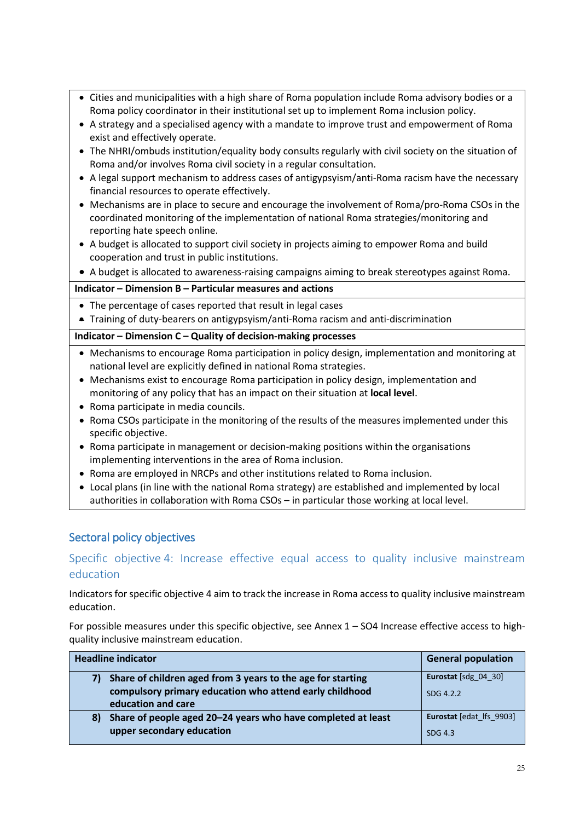- Cities and municipalities with a high share of Roma population include Roma advisory bodies or a Roma policy coordinator in their institutional set up to implement Roma inclusion policy.
- A strategy and a specialised agency with a mandate to improve trust and empowerment of Roma exist and effectively operate.
- The NHRI/ombuds institution/equality body consults regularly with civil society on the situation of Roma and/or involves Roma civil society in a regular consultation.
- A legal support mechanism to address cases of antigypsyism/anti-Roma racism have the necessary financial resources to operate effectively.
- Mechanisms are in place to secure and encourage the involvement of Roma/pro-Roma CSOs in the coordinated monitoring of the implementation of national Roma strategies/monitoring and reporting hate speech online.
- A budget is allocated to support civil society in projects aiming to empower Roma and build cooperation and trust in public institutions.

• A budget is allocated to awareness-raising campaigns aiming to break stereotypes against Roma.

**Indicator – Dimension B – Particular measures and actions**

- The percentage of cases reported that result in legal cases
- Training of duty-bearers on antigypsyism/anti-Roma racism and anti-discrimination

#### **Indicator – Dimension C – Quality of decision-making processes**

- Mechanisms to encourage Roma participation in policy design, implementation and monitoring at national level are explicitly defined in national Roma strategies.
- Mechanisms exist to encourage Roma participation in policy design, implementation and monitoring of any policy that has an impact on their situation at **local level**.
- Roma participate in media councils.
- Roma CSOs participate in the monitoring of the results of the measures implemented under this specific objective.
- Roma participate in management or decision-making positions within the organisations implementing interventions in the area of Roma inclusion.
- Roma are employed in NRCPs and other institutions related to Roma inclusion.
- Local plans (in line with the national Roma strategy) are established and implemented by local authorities in collaboration with Roma CSOs – in particular those working at local level.

### Sectoral policy objectives

### <span id="page-24-0"></span>Specific objective 4: Increase effective equal access to quality inclusive mainstream education

Indicators for specific objective 4 aim to track the increase in Roma access to quality inclusive mainstream education.

For possible measures under this specific objective, see Annex 1 – SO4 Increase effective access to highquality inclusive mainstream education.

| <b>Headline indicator</b>                                          | <b>General population</b> |
|--------------------------------------------------------------------|---------------------------|
| Share of children aged from 3 years to the age for starting<br>7)  | Eurostat [sdg $04$ 30]    |
| compulsory primary education who attend early childhood            | SDG 4.2.2                 |
| education and care                                                 |                           |
| Share of people aged 20-24 years who have completed at least<br>8) | Eurostat [edat lfs 9903]  |
| upper secondary education                                          | SDG 4.3                   |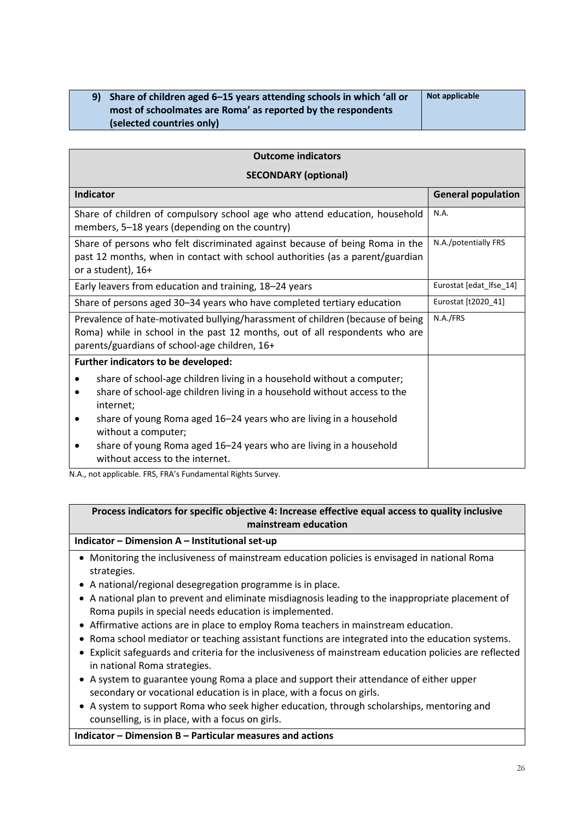| 9) Share of children aged 6–15 years attending schools in which 'all or | Not applicable |
|-------------------------------------------------------------------------|----------------|
| most of schoolmates are Roma' as reported by the respondents            |                |
| (selected countries only)                                               |                |

| <b>Outcome indicators</b>                                                                                                                                                                                      |                           |  |
|----------------------------------------------------------------------------------------------------------------------------------------------------------------------------------------------------------------|---------------------------|--|
| <b>SECONDARY (optional)</b>                                                                                                                                                                                    |                           |  |
| <b>Indicator</b>                                                                                                                                                                                               | <b>General population</b> |  |
| Share of children of compulsory school age who attend education, household<br>members, 5-18 years (depending on the country)                                                                                   | N.A.                      |  |
| Share of persons who felt discriminated against because of being Roma in the<br>past 12 months, when in contact with school authorities (as a parent/guardian<br>or a student), 16+                            | N.A./potentially FRS      |  |
| Early leavers from education and training, 18-24 years                                                                                                                                                         | Eurostat [edat Ifse 14]   |  |
| Share of persons aged 30-34 years who have completed tertiary education                                                                                                                                        | Eurostat [t2020_41]       |  |
| Prevalence of hate-motivated bullying/harassment of children (because of being<br>Roma) while in school in the past 12 months, out of all respondents who are<br>parents/guardians of school-age children, 16+ | N.A./FRS                  |  |
| Further indicators to be developed:                                                                                                                                                                            |                           |  |
| share of school-age children living in a household without a computer;<br>share of school-age children living in a household without access to the<br>internet;                                                |                           |  |
| share of young Roma aged 16-24 years who are living in a household<br>without a computer;                                                                                                                      |                           |  |
| share of young Roma aged 16-24 years who are living in a household<br>without access to the internet.                                                                                                          |                           |  |

N.A., not applicable. FRS, FRA's Fundamental Rights Survey.

#### **Process indicators for specific objective 4: Increase effective equal access to quality inclusive mainstream education**

#### **Indicator – Dimension A – Institutional set-up**

- Monitoring the inclusiveness of mainstream education policies is envisaged in national Roma strategies.
- A national/regional desegregation programme is in place.
- A national plan to prevent and eliminate misdiagnosis leading to the inappropriate placement of Roma pupils in special needs education is implemented.
- Affirmative actions are in place to employ Roma teachers in mainstream education.
- Roma school mediator or teaching assistant functions are integrated into the education systems.
- Explicit safeguards and criteria for the inclusiveness of mainstream education policies are reflected in national Roma strategies.
- A system to guarantee young Roma a place and support their attendance of either upper secondary or vocational education is in place, with a focus on girls.
- A system to support Roma who seek higher education, through scholarships, mentoring and counselling, is in place, with a focus on girls.

#### **Indicator – Dimension B – Particular measures and actions**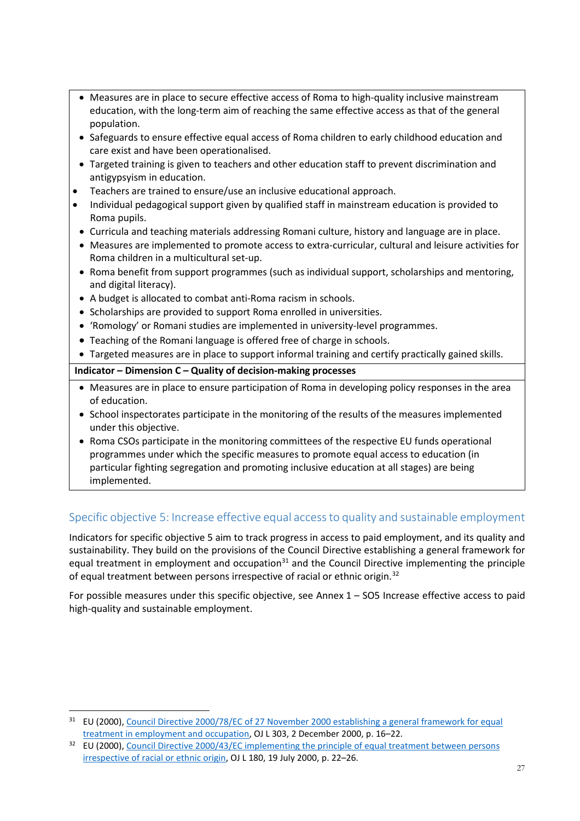- Measures are in place to secure effective access of Roma to high-quality inclusive mainstream education, with the long-term aim of reaching the same effective access as that of the general population.
- Safeguards to ensure effective equal access of Roma children to early childhood education and care exist and have been operationalised.
- Targeted training is given to teachers and other education staff to prevent discrimination and antigypsyism in education.
- Teachers are trained to ensure/use an inclusive educational approach.
- Individual pedagogical support given by qualified staff in mainstream education is provided to Roma pupils.
- Curricula and teaching materials addressing Romani culture, history and language are in place.
- Measures are implemented to promote access to extra-curricular, cultural and leisure activities for Roma children in a multicultural set-up.
- Roma benefit from support programmes (such as individual support, scholarships and mentoring, and digital literacy).
- A budget is allocated to combat anti-Roma racism in schools.
- Scholarships are provided to support Roma enrolled in universities.
- 'Romology' or Romani studies are implemented in university-level programmes.
- Teaching of the Romani language is offered free of charge in schools.
- Targeted measures are in place to support informal training and certify practically gained skills.

#### **Indicator – Dimension C – Quality of decision-making processes**

- Measures are in place to ensure participation of Roma in developing policy responses in the area of education.
- School inspectorates participate in the monitoring of the results of the measures implemented under this objective.
- Roma CSOs participate in the monitoring committees of the respective EU funds operational programmes under which the specific measures to promote equal access to education (in particular fighting segregation and promoting inclusive education at all stages) are being implemented.

### <span id="page-26-0"></span>Specific objective 5: Increase effective equal access to quality and sustainable employment

Indicators for specific objective 5 aim to track progress in access to paid employment, and its quality and sustainability. They build on the provisions of the Council Directive establishing a general framework for equal treatment in employment and occupation $31$  and the Council Directive implementing the principle of equal treatment between persons irrespective of racial or ethnic origin.<sup>[32](#page-26-2)</sup>

For possible measures under this specific objective, see Annex 1 – SO5 Increase effective access to paid high-quality and sustainable employment.

<span id="page-26-1"></span><sup>&</sup>lt;sup>31</sup> EU (2000), Council Directive 2000/78/EC of 27 November 2000 establishing a general framework for equal [treatment in employment and occupation,](https://eur-lex.europa.eu/legal-content/EN/TXT/?uri=celex%3A32000L0078) OJ L 303, 2 December 2000, p. 16-22.

<span id="page-26-2"></span><sup>&</sup>lt;sup>32</sup> EU (2000), Council Directive 2000/43/EC implementing the principle of equal treatment between persons [irrespective of racial or ethnic origin,](http://eurlex.europa.eu/LexUriServ/LexUriServ.do?uri=OJ:L:2000:180:0022:0026:EN:PDF) OJ L 180, 19 July 2000, p. 22–26.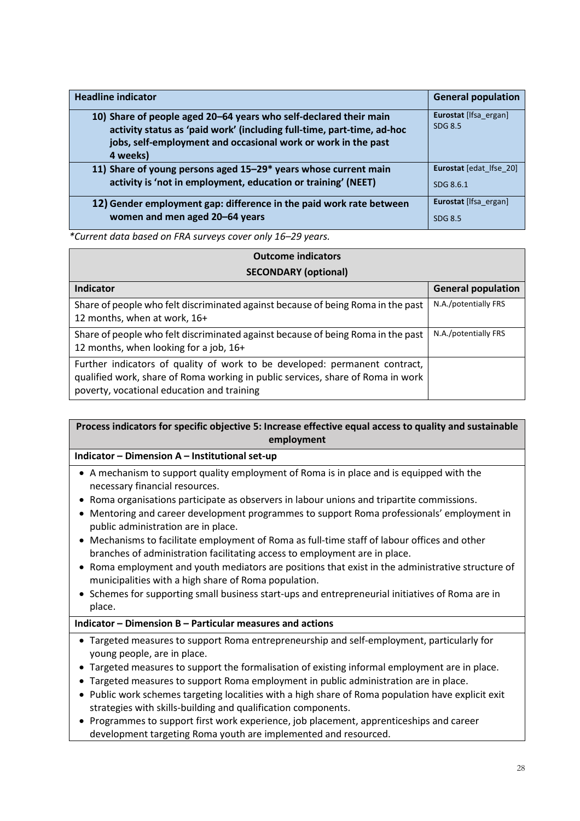| <b>Headline indicator</b>                                                                                                                                                                                                | <b>General population</b>        |
|--------------------------------------------------------------------------------------------------------------------------------------------------------------------------------------------------------------------------|----------------------------------|
| 10) Share of people aged 20-64 years who self-declared their main<br>activity status as 'paid work' (including full-time, part-time, ad-hoc<br>jobs, self-employment and occasional work or work in the past<br>4 weeks) | Eurostat [Ifsa ergan]<br>SDG 8.5 |
| 11) Share of young persons aged 15-29* years whose current main                                                                                                                                                          | Eurostat [edat lfse 20]          |
| activity is 'not in employment, education or training' (NEET)                                                                                                                                                            | SDG 8.6.1                        |
| 12) Gender employment gap: difference in the paid work rate between                                                                                                                                                      | Eurostat [Ifsa ergan]            |
| women and men aged 20-64 years                                                                                                                                                                                           | SDG 8.5                          |

*\*Current data based on FRA surveys cover only 16–29 years.*

| <b>Outcome indicators</b>                                                                                                                                                                                   |                           |  |
|-------------------------------------------------------------------------------------------------------------------------------------------------------------------------------------------------------------|---------------------------|--|
| <b>SECONDARY (optional)</b>                                                                                                                                                                                 |                           |  |
| Indicator                                                                                                                                                                                                   | <b>General population</b> |  |
| Share of people who felt discriminated against because of being Roma in the past<br>12 months, when at work, 16+                                                                                            | N.A./potentially FRS      |  |
| Share of people who felt discriminated against because of being Roma in the past<br>12 months, when looking for a job, 16+                                                                                  | N.A./potentially FRS      |  |
| Further indicators of quality of work to be developed: permanent contract,<br>qualified work, share of Roma working in public services, share of Roma in work<br>poverty, vocational education and training |                           |  |

### **Process indicators for specific objective 5: Increase effective equal access to quality and sustainable employment**

#### **Indicator – Dimension A – Institutional set-up**

- A mechanism to support quality employment of Roma is in place and is equipped with the necessary financial resources.
- Roma organisations participate as observers in labour unions and tripartite commissions.
- Mentoring and career development programmes to support Roma professionals' employment in public administration are in place.
- Mechanisms to facilitate employment of Roma as full-time staff of labour offices and other branches of administration facilitating access to employment are in place.
- Roma employment and youth mediators are positions that exist in the administrative structure of municipalities with a high share of Roma population.
- Schemes for supporting small business start-ups and entrepreneurial initiatives of Roma are in place.

#### **Indicator – Dimension B – Particular measures and actions**

- Targeted measures to support Roma entrepreneurship and self-employment, particularly for young people, are in place.
- Targeted measures to support the formalisation of existing informal employment are in place.
- Targeted measures to support Roma employment in public administration are in place.
- Public work schemes targeting localities with a high share of Roma population have explicit exit strategies with skills-building and qualification components.
- Programmes to support first work experience, job placement, apprenticeships and career development targeting Roma youth are implemented and resourced.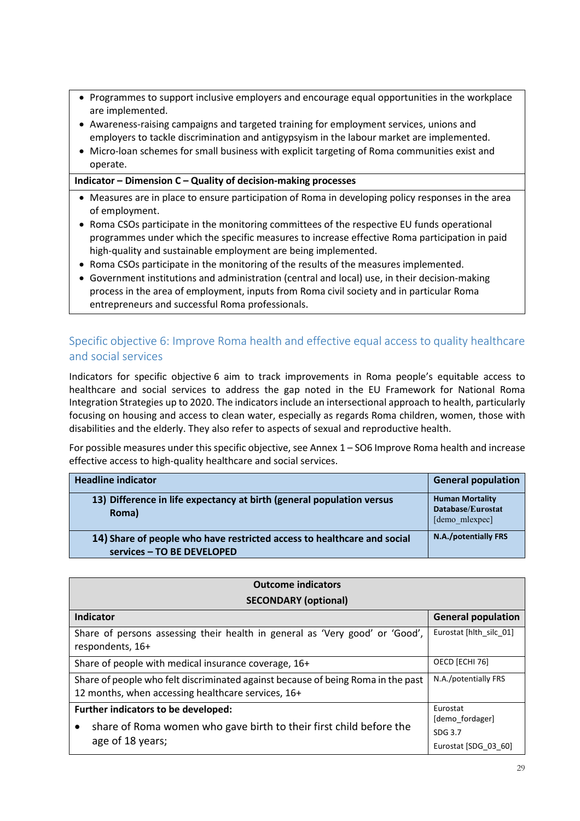- Programmes to support inclusive employers and encourage equal opportunities in the workplace are implemented.
- Awareness-raising campaigns and targeted training for employment services, unions and employers to tackle discrimination and antigypsyism in the labour market are implemented.
- Micro-loan schemes for small business with explicit targeting of Roma communities exist and operate.

#### **Indicator – Dimension C – Quality of decision-making processes**

- Measures are in place to ensure participation of Roma in developing policy responses in the area of employment.
- Roma CSOs participate in the monitoring committees of the respective EU funds operational programmes under which the specific measures to increase effective Roma participation in paid high-quality and sustainable employment are being implemented.
- Roma CSOs participate in the monitoring of the results of the measures implemented.
- Government institutions and administration (central and local) use, in their decision-making process in the area of employment, inputs from Roma civil society and in particular Roma entrepreneurs and successful Roma professionals.

### <span id="page-28-0"></span>Specific objective 6: Improve Roma health and effective equal access to quality healthcare and social services

Indicators for specific objective 6 aim to track improvements in Roma people's equitable access to healthcare and social services to address the gap noted in the EU Framework for National Roma Integration Strategies up to 2020. The indicators include an intersectional approach to health, particularly focusing on housing and access to clean water, especially as regards Roma children, women, those with disabilities and the elderly. They also refer to aspects of sexual and reproductive health.

For possible measures under this specific objective, see Annex 1 – SO6 Improve Roma health and increase effective access to high-quality healthcare and social services.

| <b>Headline indicator</b>                                                                             | <b>General population</b>                                     |
|-------------------------------------------------------------------------------------------------------|---------------------------------------------------------------|
| 13) Difference in life expectancy at birth (general population versus<br>Roma)                        | <b>Human Mortality</b><br>Database/Eurostat<br>[demo mlexpec] |
| 14) Share of people who have restricted access to healthcare and social<br>services - TO BE DEVELOPED | N.A./potentially FRS                                          |

| <b>Outcome indicators</b>                                                                                                              |                                                    |  |
|----------------------------------------------------------------------------------------------------------------------------------------|----------------------------------------------------|--|
| <b>SECONDARY (optional)</b>                                                                                                            |                                                    |  |
| Indicator                                                                                                                              | <b>General population</b>                          |  |
| Share of persons assessing their health in general as 'Very good' or 'Good',<br>respondents, 16+                                       | Eurostat [hlth silc 01]                            |  |
| Share of people with medical insurance coverage, 16+                                                                                   | OECD [ECHI 76]                                     |  |
| Share of people who felt discriminated against because of being Roma in the past<br>12 months, when accessing healthcare services, 16+ | N.A./potentially FRS                               |  |
| Further indicators to be developed:                                                                                                    | Eurostat                                           |  |
| share of Roma women who gave birth to their first child before the<br>$\bullet$<br>age of 18 years;                                    | [demo fordager]<br>SDG 3.7<br>Eurostat [SDG 03 60] |  |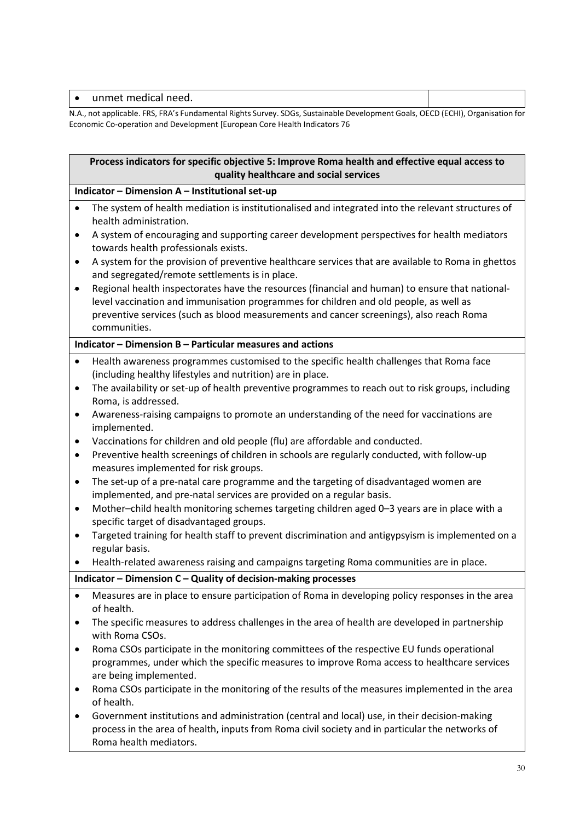|    | unmet medical need.                                                                                                      |  |
|----|--------------------------------------------------------------------------------------------------------------------------|--|
| ᄭᄭ | not applicable. EDC, EDA's Eundamental Dights Survey, SDGs, Sustainable Development Goals, OECD (ECHI), Organisation for |  |

N.A., not applicable. FRS, FRA's Fundamental Rights Survey. SDGs, Sustainable Development Goals, OECD (ECHI), Organisation for Economic Co-operation and Development [European Core Health Indicators 76

|           | Process indicators for specific objective 5: Improve Roma health and effective equal access to<br>quality healthcare and social services                                                                                                                                                            |  |  |
|-----------|-----------------------------------------------------------------------------------------------------------------------------------------------------------------------------------------------------------------------------------------------------------------------------------------------------|--|--|
|           | Indicator - Dimension A - Institutional set-up                                                                                                                                                                                                                                                      |  |  |
| $\bullet$ | The system of health mediation is institutionalised and integrated into the relevant structures of<br>health administration.                                                                                                                                                                        |  |  |
| $\bullet$ | A system of encouraging and supporting career development perspectives for health mediators<br>towards health professionals exists.                                                                                                                                                                 |  |  |
| ٠         | A system for the provision of preventive healthcare services that are available to Roma in ghettos<br>and segregated/remote settlements is in place.                                                                                                                                                |  |  |
| ٠         | Regional health inspectorates have the resources (financial and human) to ensure that national-<br>level vaccination and immunisation programmes for children and old people, as well as<br>preventive services (such as blood measurements and cancer screenings), also reach Roma<br>communities. |  |  |
|           | Indicator - Dimension B - Particular measures and actions                                                                                                                                                                                                                                           |  |  |
| $\bullet$ | Health awareness programmes customised to the specific health challenges that Roma face<br>(including healthy lifestyles and nutrition) are in place.                                                                                                                                               |  |  |
| $\bullet$ | The availability or set-up of health preventive programmes to reach out to risk groups, including<br>Roma, is addressed.                                                                                                                                                                            |  |  |
| ٠         | Awareness-raising campaigns to promote an understanding of the need for vaccinations are<br>implemented.                                                                                                                                                                                            |  |  |
| $\bullet$ | Vaccinations for children and old people (flu) are affordable and conducted.                                                                                                                                                                                                                        |  |  |
| $\bullet$ | Preventive health screenings of children in schools are regularly conducted, with follow-up<br>measures implemented for risk groups.                                                                                                                                                                |  |  |
| $\bullet$ | The set-up of a pre-natal care programme and the targeting of disadvantaged women are<br>implemented, and pre-natal services are provided on a regular basis.                                                                                                                                       |  |  |
| ٠         | Mother-child health monitoring schemes targeting children aged 0-3 years are in place with a<br>specific target of disadvantaged groups.                                                                                                                                                            |  |  |
| $\bullet$ | Targeted training for health staff to prevent discrimination and antigypsyism is implemented on a<br>regular basis.                                                                                                                                                                                 |  |  |
|           | Health-related awareness raising and campaigns targeting Roma communities are in place.                                                                                                                                                                                                             |  |  |
|           | Indicator - Dimension C - Quality of decision-making processes                                                                                                                                                                                                                                      |  |  |
| $\bullet$ | Measures are in place to ensure participation of Roma in developing policy responses in the area<br>of health.                                                                                                                                                                                      |  |  |
| ٠         | The specific measures to address challenges in the area of health are developed in partnership<br>with Roma CSOs.                                                                                                                                                                                   |  |  |
| ٠         | Roma CSOs participate in the monitoring committees of the respective EU funds operational<br>programmes, under which the specific measures to improve Roma access to healthcare services<br>are being implemented.                                                                                  |  |  |
| ٠         | Roma CSOs participate in the monitoring of the results of the measures implemented in the area<br>of health.                                                                                                                                                                                        |  |  |
| ٠         | Government institutions and administration (central and local) use, in their decision-making<br>process in the area of health, inputs from Roma civil society and in particular the networks of                                                                                                     |  |  |

Roma health mediators.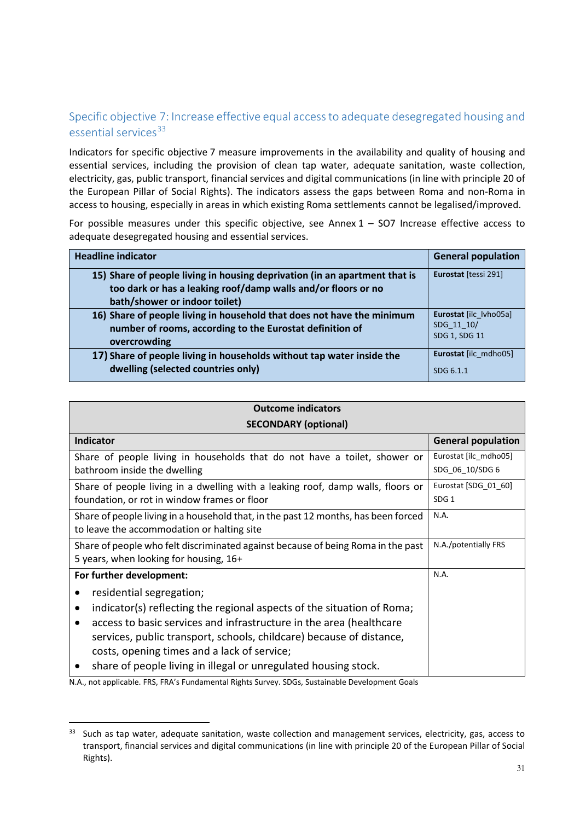### <span id="page-30-0"></span>Specific objective 7: Increase effective equal access to adequate desegregated housing and essential services<sup>[33](#page-30-1)</sup>

Indicators for specific objective 7 measure improvements in the availability and quality of housing and essential services, including the provision of clean tap water, adequate sanitation, waste collection, electricity, gas, public transport, financial services and digital communications (in line with principle 20 of the European Pillar of Social Rights). The indicators assess the gaps between Roma and non-Roma in access to housing, especially in areas in which existing Roma settlements cannot be legalised/improved.

For possible measures under this specific objective, see Annex  $1 -$  SO7 Increase effective access to adequate desegregated housing and essential services.

| <b>Headline indicator</b>                                                                                                                                                    | <b>General population</b> |
|------------------------------------------------------------------------------------------------------------------------------------------------------------------------------|---------------------------|
| 15) Share of people living in housing deprivation (in an apartment that is<br>too dark or has a leaking roof/damp walls and/or floors or no<br>bath/shower or indoor toilet) | Eurostat [tessi 291]      |
| 16) Share of people living in household that does not have the minimum                                                                                                       | Eurostat [ilc lvho05a]    |
| number of rooms, according to the Eurostat definition of                                                                                                                     | SDG 11 10/                |
| overcrowding                                                                                                                                                                 | SDG 1, SDG 11             |
| 17) Share of people living in households without tap water inside the                                                                                                        | Eurostat [ilc mdho05]     |
| dwelling (selected countries only)                                                                                                                                           | SDG 6.1.1                 |

| <b>Outcome indicators</b>    |
|------------------------------|
| $CFCONINANDV$ $[subinclude]$ |

| <b>SECONDARY (optional)</b>                                                         |                           |  |
|-------------------------------------------------------------------------------------|---------------------------|--|
| <b>Indicator</b>                                                                    | <b>General population</b> |  |
| Share of people living in households that do not have a toilet, shower or           | Eurostat [ilc_mdho05]     |  |
| bathroom inside the dwelling                                                        | SDG_06_10/SDG 6           |  |
| Share of people living in a dwelling with a leaking roof, damp walls, floors or     | Eurostat [SDG_01_60]      |  |
| foundation, or rot in window frames or floor                                        | SDG <sub>1</sub>          |  |
| Share of people living in a household that, in the past 12 months, has been forced  | N.A.                      |  |
| to leave the accommodation or halting site                                          |                           |  |
| Share of people who felt discriminated against because of being Roma in the past    | N.A./potentially FRS      |  |
| 5 years, when looking for housing, 16+                                              |                           |  |
| For further development:                                                            | N.A.                      |  |
| residential segregation;                                                            |                           |  |
| indicator(s) reflecting the regional aspects of the situation of Roma;<br>$\bullet$ |                           |  |
| access to basic services and infrastructure in the area (healthcare<br>٠            |                           |  |
| services, public transport, schools, childcare) because of distance,                |                           |  |
| costs, opening times and a lack of service;                                         |                           |  |
| share of people living in illegal or unregulated housing stock.                     |                           |  |

N.A., not applicable. FRS, FRA's Fundamental Rights Survey. SDGs, Sustainable Development Goals

<span id="page-30-1"></span><sup>&</sup>lt;sup>33</sup> Such as tap water, adequate sanitation, waste collection and management services, electricity, gas, access to transport, financial services and digital communications (in line with principle 20 of the European Pillar of Social Rights).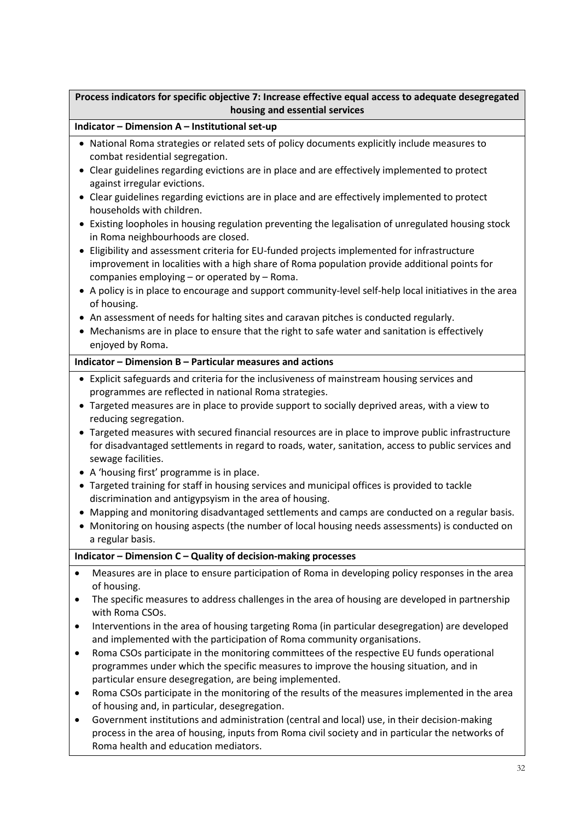### **Process indicators for specific objective 7: Increase effective equal access to adequate desegregated housing and essential services**

#### **Indicator – Dimension A – Institutional set-up**

- National Roma strategies or related sets of policy documents explicitly include measures to combat residential segregation.
- Clear guidelines regarding evictions are in place and are effectively implemented to protect against irregular evictions.
- Clear guidelines regarding evictions are in place and are effectively implemented to protect households with children.
- Existing loopholes in housing regulation preventing the legalisation of unregulated housing stock in Roma neighbourhoods are closed.
- Eligibility and assessment criteria for EU-funded projects implemented for infrastructure improvement in localities with a high share of Roma population provide additional points for companies employing – or operated by – Roma.
- A policy is in place to encourage and support community-level self-help local initiatives in the area of housing.
- An assessment of needs for halting sites and caravan pitches is conducted regularly.
- Mechanisms are in place to ensure that the right to safe water and sanitation is effectively enjoyed by Roma.

#### **Indicator – Dimension B – Particular measures and actions**

- Explicit safeguards and criteria for the inclusiveness of mainstream housing services and programmes are reflected in national Roma strategies.
- Targeted measures are in place to provide support to socially deprived areas, with a view to reducing segregation.
- Targeted measures with secured financial resources are in place to improve public infrastructure for disadvantaged settlements in regard to roads, water, sanitation, access to public services and sewage facilities.
- A 'housing first' programme is in place.
- Targeted training for staff in housing services and municipal offices is provided to tackle discrimination and antigypsyism in the area of housing.
- Mapping and monitoring disadvantaged settlements and camps are conducted on a regular basis.
- Monitoring on housing aspects (the number of local housing needs assessments) is conducted on a regular basis.

#### **Indicator – Dimension C – Quality of decision-making processes**

- Measures are in place to ensure participation of Roma in developing policy responses in the area of housing.
- The specific measures to address challenges in the area of housing are developed in partnership with Roma CSOs.
- Interventions in the area of housing targeting Roma (in particular desegregation) are developed and implemented with the participation of Roma community organisations.
- Roma CSOs participate in the monitoring committees of the respective EU funds operational programmes under which the specific measures to improve the housing situation, and in particular ensure desegregation, are being implemented.
- Roma CSOs participate in the monitoring of the results of the measures implemented in the area of housing and, in particular, desegregation.
- Government institutions and administration (central and local) use, in their decision-making process in the area of housing, inputs from Roma civil society and in particular the networks of Roma health and education mediators.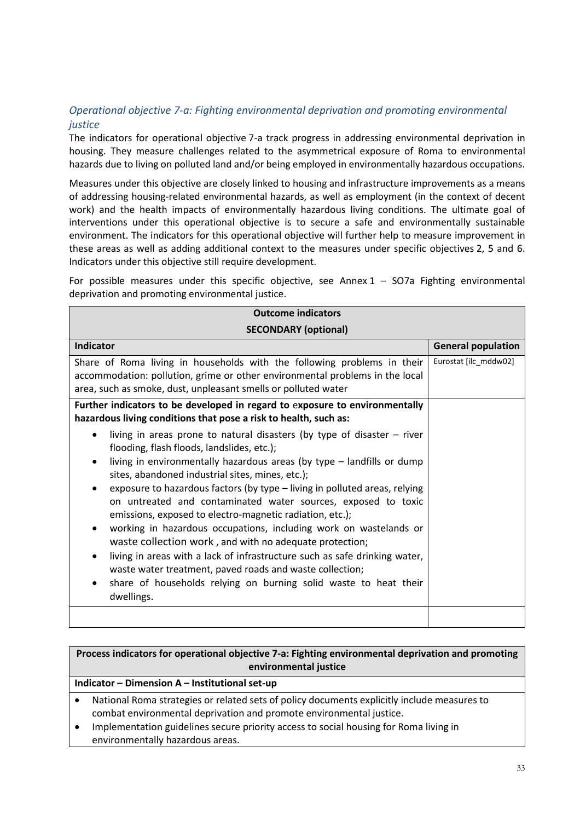### <span id="page-32-0"></span>*Operational objective 7-a: Fighting environmental deprivation and promoting environmental justice*

The indicators for operational objective 7-a track progress in addressing environmental deprivation in housing. They measure challenges related to the asymmetrical exposure of Roma to environmental hazards due to living on polluted land and/or being employed in environmentally hazardous occupations.

Measures under this objective are closely linked to housing and infrastructure improvements as a means of addressing housing-related environmental hazards, as well as employment (in the context of decent work) and the health impacts of environmentally hazardous living conditions. The ultimate goal of interventions under this operational objective is to secure a safe and environmentally sustainable environment. The indicators for this operational objective will further help to measure improvement in these areas as well as adding additional context to the measures under specific objectives 2, 5 and 6. Indicators under this objective still require development.

For possible measures under this specific objective, see Annex  $1 - SO7a$  Fighting environmental deprivation and promoting environmental justice.

| <b>Outcome indicators</b>                                                                                                                                                                                                                                                                                                                                                                                                                                                                                                                                                                                                                                                                                                                                                                                                         |                           |
|-----------------------------------------------------------------------------------------------------------------------------------------------------------------------------------------------------------------------------------------------------------------------------------------------------------------------------------------------------------------------------------------------------------------------------------------------------------------------------------------------------------------------------------------------------------------------------------------------------------------------------------------------------------------------------------------------------------------------------------------------------------------------------------------------------------------------------------|---------------------------|
| <b>SECONDARY (optional)</b>                                                                                                                                                                                                                                                                                                                                                                                                                                                                                                                                                                                                                                                                                                                                                                                                       |                           |
| <b>Indicator</b>                                                                                                                                                                                                                                                                                                                                                                                                                                                                                                                                                                                                                                                                                                                                                                                                                  | <b>General population</b> |
| Share of Roma living in households with the following problems in their<br>accommodation: pollution, grime or other environmental problems in the local<br>area, such as smoke, dust, unpleasant smells or polluted water                                                                                                                                                                                                                                                                                                                                                                                                                                                                                                                                                                                                         | Eurostat [ilc mddw02]     |
| Further indicators to be developed in regard to exposure to environmentally<br>hazardous living conditions that pose a risk to health, such as:                                                                                                                                                                                                                                                                                                                                                                                                                                                                                                                                                                                                                                                                                   |                           |
| living in areas prone to natural disasters (by type of disaster $-$ river<br>flooding, flash floods, landslides, etc.);<br>living in environmentally hazardous areas (by type - landfills or dump<br>sites, abandoned industrial sites, mines, etc.);<br>exposure to hazardous factors (by type - living in polluted areas, relying<br>on untreated and contaminated water sources, exposed to toxic<br>emissions, exposed to electro-magnetic radiation, etc.);<br>working in hazardous occupations, including work on wastelands or<br>٠<br>waste collection work, and with no adequate protection;<br>living in areas with a lack of infrastructure such as safe drinking water,<br>waste water treatment, paved roads and waste collection;<br>share of households relying on burning solid waste to heat their<br>dwellings. |                           |
|                                                                                                                                                                                                                                                                                                                                                                                                                                                                                                                                                                                                                                                                                                                                                                                                                                   |                           |

### **Process indicators for operational objective 7-a: Fighting environmental deprivation and promoting environmental justice Indicator – Dimension A – Institutional set-up**

• National Roma strategies or related sets of policy documents explicitly include measures to combat environmental deprivation and promote environmental justice.

• Implementation guidelines secure priority access to social housing for Roma living in environmentally hazardous areas.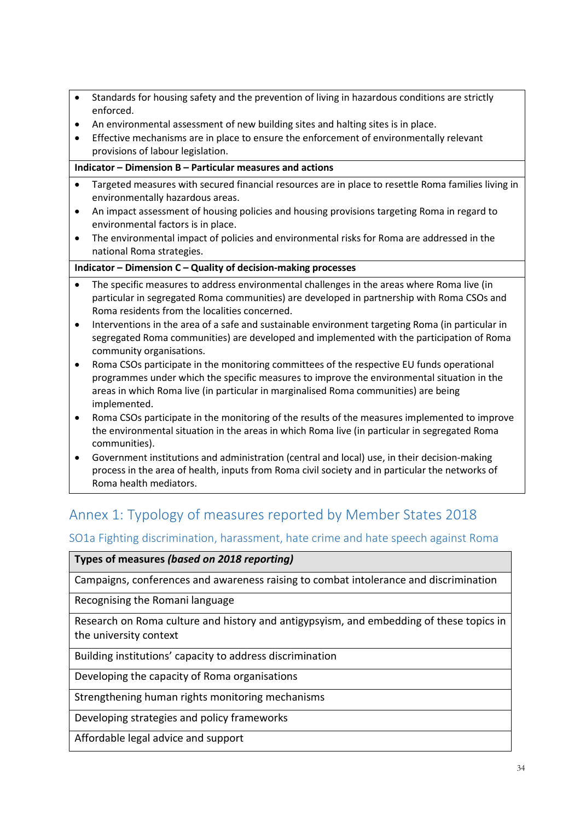- Standards for housing safety and the prevention of living in hazardous conditions are strictly enforced.
- An environmental assessment of new building sites and halting sites is in place.
- Effective mechanisms are in place to ensure the enforcement of environmentally relevant provisions of labour legislation.

#### **Indicator – Dimension B – Particular measures and actions**

- Targeted measures with secured financial resources are in place to resettle Roma families living in environmentally hazardous areas.
- An impact assessment of housing policies and housing provisions targeting Roma in regard to environmental factors is in place.
- The environmental impact of policies and environmental risks for Roma are addressed in the national Roma strategies.

#### **Indicator – Dimension C – Quality of decision-making processes**

- The specific measures to address environmental challenges in the areas where Roma live (in particular in segregated Roma communities) are developed in partnership with Roma CSOs and Roma residents from the localities concerned.
- Interventions in the area of a safe and sustainable environment targeting Roma (in particular in segregated Roma communities) are developed and implemented with the participation of Roma community organisations.
- Roma CSOs participate in the monitoring committees of the respective EU funds operational programmes under which the specific measures to improve the environmental situation in the areas in which Roma live (in particular in marginalised Roma communities) are being implemented.
- Roma CSOs participate in the monitoring of the results of the measures implemented to improve the environmental situation in the areas in which Roma live (in particular in segregated Roma communities).
- Government institutions and administration (central and local) use, in their decision-making process in the area of health, inputs from Roma civil society and in particular the networks of Roma health mediators.

# <span id="page-33-0"></span>Annex 1: Typology of measures reported by Member States 2018

### <span id="page-33-1"></span>SO1a Fighting discrimination, harassment, hate crime and hate speech against Roma

#### **Types of measures** *(based on 2018 reporting)*

Campaigns, conferences and awareness raising to combat intolerance and discrimination

Recognising the Romani language

Research on Roma culture and history and antigypsyism, and embedding of these topics in the university context

Building institutions' capacity to address discrimination

Developing the capacity of Roma organisations

Strengthening human rights monitoring mechanisms

Developing strategies and policy frameworks

Affordable legal advice and support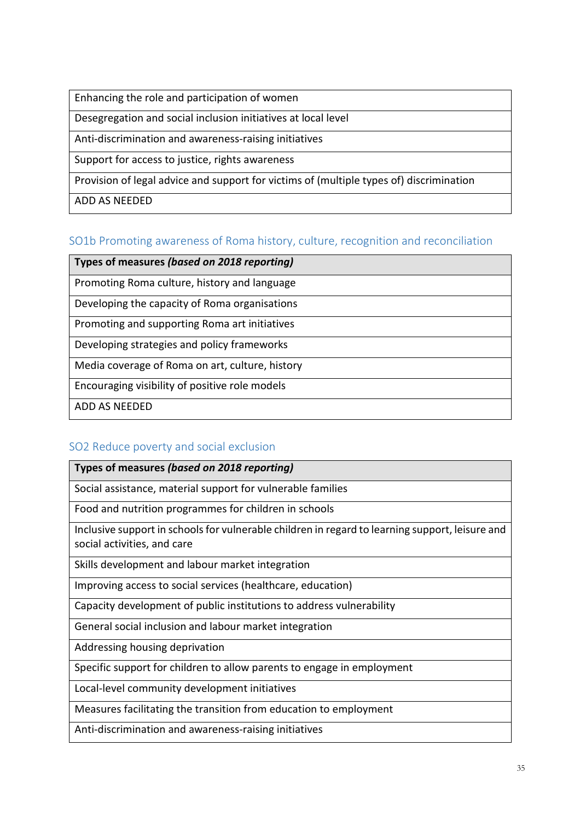Enhancing the role and participation of women

Desegregation and social inclusion initiatives at local level

Anti-discrimination and awareness-raising initiatives

Support for access to justice, rights awareness

Provision of legal advice and support for victims of (multiple types of) discrimination

ADD AS NEEDED

### <span id="page-34-0"></span>SO1b Promoting awareness of Roma history, culture, recognition and reconciliation

**Types of measures** *(based on 2018 reporting)*

Promoting Roma culture, history and language

Developing the capacity of Roma organisations

Promoting and supporting Roma art initiatives

Developing strategies and policy frameworks

Media coverage of Roma on art, culture, history

Encouraging visibility of positive role models

ADD AS NEEDED

### <span id="page-34-1"></span>SO2 Reduce poverty and social exclusion

**Types of measures** *(based on 2018 reporting)*

Social assistance, material support for vulnerable families

Food and nutrition programmes for children in schools

Inclusive support in schools for vulnerable children in regard to learning support, leisure and social activities, and care

Skills development and labour market integration

Improving access to social services (healthcare, education)

Capacity development of public institutions to address vulnerability

General social inclusion and labour market integration

Addressing housing deprivation

Specific support for children to allow parents to engage in employment

Local-level community development initiatives

Measures facilitating the transition from education to employment

Anti-discrimination and awareness-raising initiatives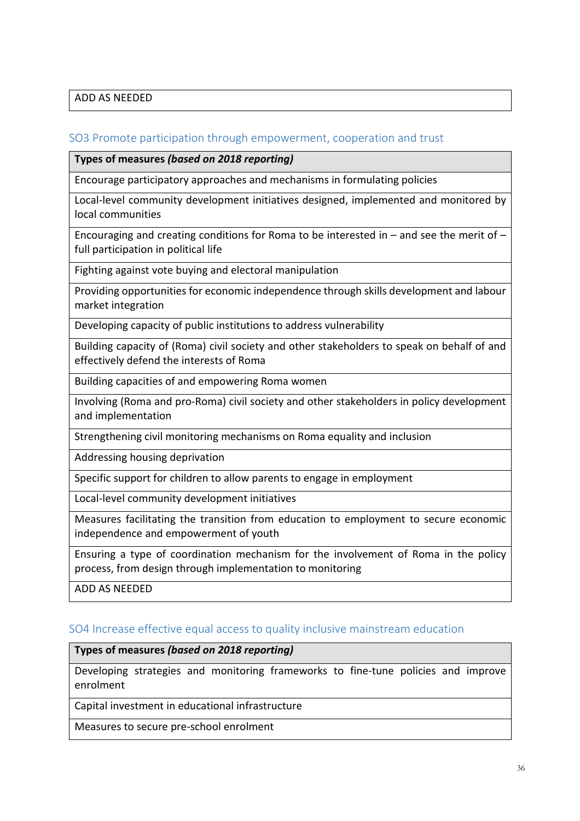### ADD AS NEEDED

### <span id="page-35-0"></span>SO3 Promote participation through empowerment, cooperation and trust

**Types of measures** *(based on 2018 reporting)*

Encourage participatory approaches and mechanisms in formulating policies

Local-level community development initiatives designed, implemented and monitored by local communities

Encouraging and creating conditions for Roma to be interested in – and see the merit of – full participation in political life

Fighting against vote buying and electoral manipulation

Providing opportunities for economic independence through skills development and labour market integration

Developing capacity of public institutions to address vulnerability

Building capacity of (Roma) civil society and other stakeholders to speak on behalf of and effectively defend the interests of Roma

Building capacities of and empowering Roma women

Involving (Roma and pro-Roma) civil society and other stakeholders in policy development and implementation

Strengthening civil monitoring mechanisms on Roma equality and inclusion

Addressing housing deprivation

Specific support for children to allow parents to engage in employment

Local-level community development initiatives

Measures facilitating the transition from education to employment to secure economic independence and empowerment of youth

Ensuring a type of coordination mechanism for the involvement of Roma in the policy process, from design through implementation to monitoring

ADD AS NEEDED

#### <span id="page-35-1"></span>SO4 Increase effective equal access to quality inclusive mainstream education

### **Types of measures** *(based on 2018 reporting)*

Developing strategies and monitoring frameworks to fine-tune policies and improve enrolment

Capital investment in educational infrastructure

Measures to secure pre-school enrolment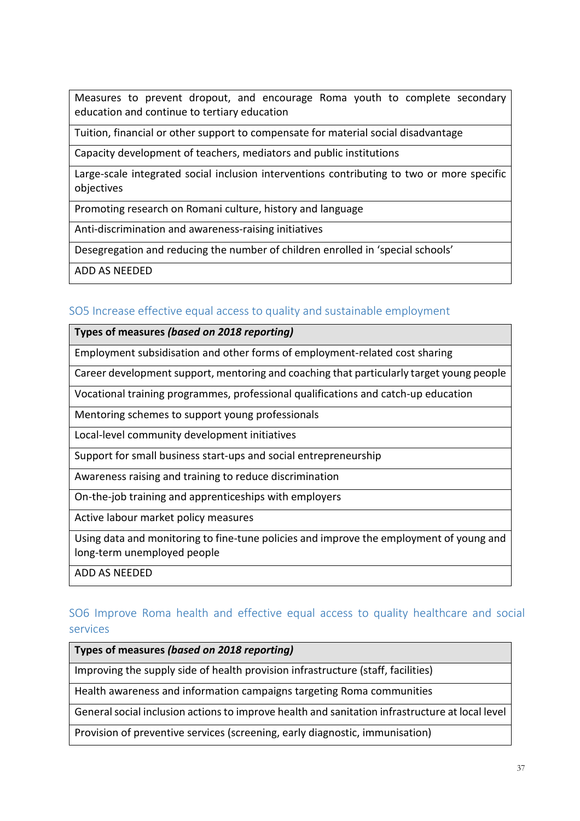Measures to prevent dropout, and encourage Roma youth to complete secondary education and continue to tertiary education

Tuition, financial or other support to compensate for material social disadvantage

Capacity development of teachers, mediators and public institutions

Large-scale integrated social inclusion interventions contributing to two or more specific objectives

Promoting research on Romani culture, history and language

Anti-discrimination and awareness-raising initiatives

Desegregation and reducing the number of children enrolled in 'special schools'

ADD AS NEEDED

### <span id="page-36-0"></span>SO5 Increase effective equal access to quality and sustainable employment

**Types of measures** *(based on 2018 reporting)*

Employment subsidisation and other forms of employment-related cost sharing

Career development support, mentoring and coaching that particularly target young people

Vocational training programmes, professional qualifications and catch-up education

Mentoring schemes to support young professionals

Local-level community development initiatives

Support for small business start-ups and social entrepreneurship

Awareness raising and training to reduce discrimination

On-the-job training and apprenticeships with employers

Active labour market policy measures

Using data and monitoring to fine-tune policies and improve the employment of young and long-term unemployed people

ADD AS NEEDED

### <span id="page-36-1"></span>SO6 Improve Roma health and effective equal access to quality healthcare and social services

**Types of measures** *(based on 2018 reporting)*

Improving the supply side of health provision infrastructure (staff, facilities)

Health awareness and information campaigns targeting Roma communities

General social inclusion actions to improve health and sanitation infrastructure at local level

Provision of preventive services (screening, early diagnostic, immunisation)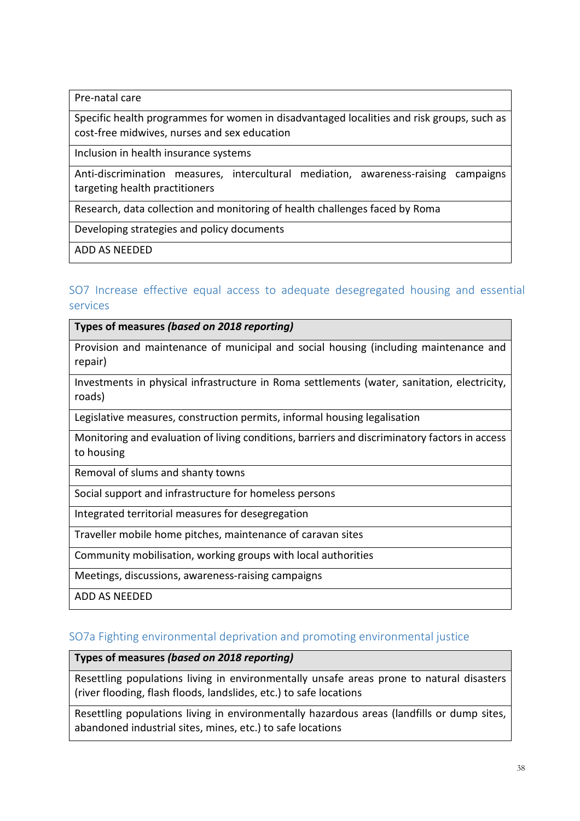Pre-natal care

Specific health programmes for women in disadvantaged localities and risk groups, such as cost-free midwives, nurses and sex education

Inclusion in health insurance systems

Anti-discrimination measures, intercultural mediation, awareness-raising campaigns targeting health practitioners

Research, data collection and monitoring of health challenges faced by Roma

Developing strategies and policy documents

ADD AS NEEDED

### <span id="page-37-0"></span>SO7 Increase effective equal access to adequate desegregated housing and essential services

**Types of measures** *(based on 2018 reporting)*

Provision and maintenance of municipal and social housing (including maintenance and repair)

Investments in physical infrastructure in Roma settlements (water, sanitation, electricity, roads)

Legislative measures, construction permits, informal housing legalisation

Monitoring and evaluation of living conditions, barriers and discriminatory factors in access to housing

Removal of slums and shanty towns

Social support and infrastructure for homeless persons

Integrated territorial measures for desegregation

Traveller mobile home pitches, maintenance of caravan sites

Community mobilisation, working groups with local authorities

Meetings, discussions, awareness-raising campaigns

ADD AS NEEDED

### <span id="page-37-1"></span>SO7a Fighting environmental deprivation and promoting environmental justice

### **Types of measures** *(based on 2018 reporting)*

Resettling populations living in environmentally unsafe areas prone to natural disasters (river flooding, flash floods, landslides, etc.) to safe locations

Resettling populations living in environmentally hazardous areas (landfills or dump sites, abandoned industrial sites, mines, etc.) to safe locations